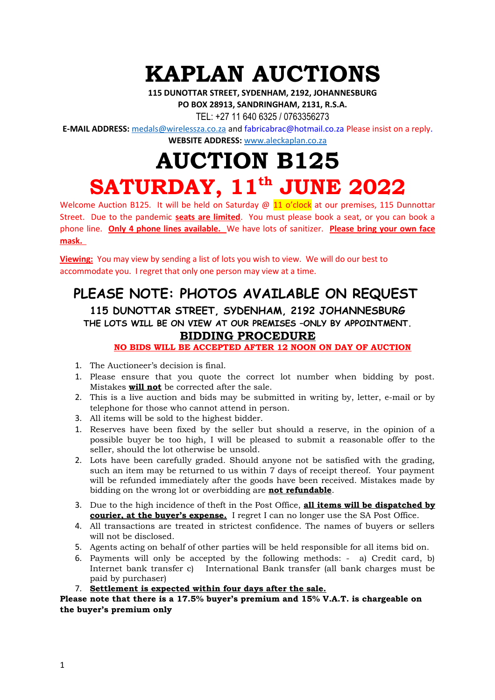## **KAPLAN AUCTIONS**

**115 DUNOTTAR STREET, SYDENHAM, 2192, JOHANNESBURG**

**PO BOX 28913, SANDRINGHAM, 2131, R.S.A.**

TEL: +27 11 640 6325 / 0763356273

**E-MAIL ADDRESS:** [medals@wirelessza.co.za](mailto:medals@wirelessza.co.za) and fabricabrac@hotmail.co.za Please insist on a reply.

**WEBSITE ADDRESS:** [www.aleckaplan.co.za](http://www.aleckaplan.co.za/)

## **AUCTION B125 SATURDAY, 11th JUNE 2022**

Welcome Auction B125. It will be held on Saturday  $\omega$  11 o'clock at our premises, 115 Dunnottar Street. Due to the pandemic **seats are limited**. You must please book a seat, or you can book a phone line. **Only 4 phone lines available.** We have lots of sanitizer. **Please bring your own face mask.** 

**Viewing:** You may view by sending a list of lots you wish to view. We will do our best to accommodate you. I regret that only one person may view at a time.

## **PLEASE NOTE: PHOTOS AVAILABLE ON REQUEST**

**115 DUNOTTAR STREET, SYDENHAM, 2192 JOHANNESBURG THE LOTS WILL BE ON VIEW AT OUR PREMISES –ONLY BY APPOINTMENT. BIDDING PROCEDURE**

**NO BIDS WILL BE ACCEPTED AFTER 12 NOON ON DAY OF AUCTION**

- 1. The Auctioneer's decision is final.
- 1. Please ensure that you quote the correct lot number when bidding by post. Mistakes **will not** be corrected after the sale.
- 2. This is a live auction and bids may be submitted in writing by, letter, e-mail or by telephone for those who cannot attend in person.
- 3. All items will be sold to the highest bidder.
- 1. Reserves have been fixed by the seller but should a reserve, in the opinion of a possible buyer be too high, I will be pleased to submit a reasonable offer to the seller, should the lot otherwise be unsold.
- 2. Lots have been carefully graded. Should anyone not be satisfied with the grading, such an item may be returned to us within 7 days of receipt thereof. Your payment will be refunded immediately after the goods have been received. Mistakes made by bidding on the wrong lot or overbidding are **not refundable**.
- 3. Due to the high incidence of theft in the Post Office, **all items will be dispatched by courier, at the buyer's expense.** I regret I can no longer use the SA Post Office.
- 4. All transactions are treated in strictest confidence. The names of buyers or sellers will not be disclosed.
- 5. Agents acting on behalf of other parties will be held responsible for all items bid on.
- 6. Payments will only be accepted by the following methods: a) Credit card, b) Internet bank transfer c) International Bank transfer (all bank charges must be paid by purchaser)
- 7. **Settlement is expected within four days after the sale.**

## **Please note that there is a 17.5% buyer's premium and 15% V.A.T. is chargeable on the buyer's premium only**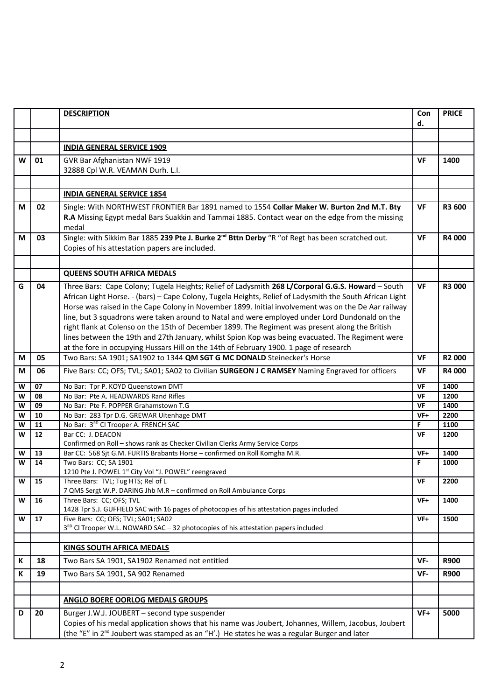|        |          | <b>DESCRIPTION</b>                                                                                                                                                                         | Con        | <b>PRICE</b>  |
|--------|----------|--------------------------------------------------------------------------------------------------------------------------------------------------------------------------------------------|------------|---------------|
|        |          |                                                                                                                                                                                            | d.         |               |
|        |          |                                                                                                                                                                                            |            |               |
|        |          | <b>INDIA GENERAL SERVICE 1909</b>                                                                                                                                                          |            |               |
| W      | 01       | GVR Bar Afghanistan NWF 1919                                                                                                                                                               | <b>VF</b>  | 1400          |
|        |          | 32888 Cpl W.R. VEAMAN Durh. L.I.                                                                                                                                                           |            |               |
|        |          |                                                                                                                                                                                            |            |               |
|        |          | <b>INDIA GENERAL SERVICE 1854</b>                                                                                                                                                          |            |               |
|        |          |                                                                                                                                                                                            |            |               |
| M      | 02       | Single: With NORTHWEST FRONTIER Bar 1891 named to 1554 Collar Maker W. Burton 2nd M.T. Bty                                                                                                 | <b>VF</b>  | R3 600        |
|        |          | R.A Missing Egypt medal Bars Suakkin and Tammai 1885. Contact wear on the edge from the missing                                                                                            |            |               |
|        |          | medal<br>Single: with Sikkim Bar 1885 239 Pte J. Burke 2 <sup>nd</sup> Bttn Derby "R "of Regt has been scratched out.                                                                      | <b>VF</b>  |               |
| М      | 03       | Copies of his attestation papers are included.                                                                                                                                             |            | <b>R4 000</b> |
|        |          |                                                                                                                                                                                            |            |               |
|        |          |                                                                                                                                                                                            |            |               |
|        |          | <b>QUEENS SOUTH AFRICA MEDALS</b>                                                                                                                                                          |            |               |
| G      | 04       | Three Bars: Cape Colony; Tugela Heights; Relief of Ladysmith 268 L/Corporal G.G.S. Howard - South                                                                                          | <b>VF</b>  | <b>R3 000</b> |
|        |          | African Light Horse. - (bars) - Cape Colony, Tugela Heights, Relief of Ladysmith the South African Light                                                                                   |            |               |
|        |          | Horse was raised in the Cape Colony in November 1899. Initial involvement was on the De Aar railway                                                                                        |            |               |
|        |          | line, but 3 squadrons were taken around to Natal and were employed under Lord Dundonald on the                                                                                             |            |               |
|        |          | right flank at Colenso on the 15th of December 1899. The Regiment was present along the British                                                                                            |            |               |
|        |          | lines between the 19th and 27th January, whilst Spion Kop was being evacuated. The Regiment were<br>at the fore in occupying Hussars Hill on the 14th of February 1900. 1 page of research |            |               |
| M      | 05       | Two Bars: SA 1901; SA1902 to 1344 QM SGT G MC DONALD Steinecker's Horse                                                                                                                    | <b>VF</b>  | <b>R2000</b>  |
|        |          |                                                                                                                                                                                            |            |               |
| M      | 06       | Five Bars: CC; OFS; TVL; SA01; SA02 to Civilian SURGEON J C RAMSEY Naming Engraved for officers                                                                                            | VF         | R4 000        |
| W      | 07       | No Bar: Tpr P. KOYD Queenstown DMT                                                                                                                                                         | VF         | 1400          |
| W      | 08       | No Bar: Pte A. HEADWARDS Rand Rifles                                                                                                                                                       | VF         | 1200          |
| W      | 09       | No Bar: Pte F. POPPER Grahamstown T.G                                                                                                                                                      | <b>VF</b>  | 1400          |
| W<br>W | 10<br>11 | No Bar: 283 Tpr D.G. GREWAR Uitenhage DMT<br>No Bar: 3RD CI Trooper A. FRENCH SAC                                                                                                          | $VF+$<br>F | 2200<br>1100  |
| W      | 12       | Bar CC: J. DEACON                                                                                                                                                                          | <b>VF</b>  | 1200          |
|        |          | Confirmed on Roll - shows rank as Checker Civilian Clerks Army Service Corps                                                                                                               |            |               |
| W      | 13       | Bar CC: 568 Sjt G.M. FURTIS Brabants Horse - confirmed on Roll Komgha M.R.                                                                                                                 | VF+        | 1400          |
| W      | 14       | Two Bars: CC; SA 1901                                                                                                                                                                      | F.         | 1000          |
|        |          | 1210 Pte J. POWEL 1st City Vol "J. POWEL" reengraved                                                                                                                                       |            |               |
| W      | 15       | Three Bars: TVL; Tug HTS; Rel of L<br>7 QMS Sergt W.P. DARING Jhb M.R - confirmed on Roll Ambulance Corps                                                                                  | VF         | 2200          |
| W      | 16       | Three Bars: CC; OFS; TVL                                                                                                                                                                   | VF+        | 1400          |
|        |          | 1428 Tpr S.J. GUFFIELD SAC with 16 pages of photocopies of his attestation pages included                                                                                                  |            |               |
| W      | 17       | Five Bars: CC; OFS; TVL; SA01; SA02                                                                                                                                                        | VF+        | 1500          |
|        |          | 3 <sup>RD</sup> CI Trooper W.L. NOWARD SAC - 32 photocopies of his attestation papers included                                                                                             |            |               |
|        |          |                                                                                                                                                                                            |            |               |
|        |          | <b>KINGS SOUTH AFRICA MEDALS</b>                                                                                                                                                           |            |               |
| К      | 18       | Two Bars SA 1901, SA1902 Renamed not entitled                                                                                                                                              | VF-        | <b>R900</b>   |
| К      | 19       | Two Bars SA 1901, SA 902 Renamed                                                                                                                                                           | VF-        | <b>R900</b>   |
|        |          |                                                                                                                                                                                            |            |               |
|        |          | <b>ANGLO BOERE OORLOG MEDALS GROUPS</b>                                                                                                                                                    |            |               |
| D      | 20       | Burger J.W.J. JOUBERT - second type suspender                                                                                                                                              | $VF+$      | 5000          |
|        |          | Copies of his medal application shows that his name was Joubert, Johannes, Willem, Jacobus, Joubert                                                                                        |            |               |
|        |          | (the "E" in 2 <sup>nd</sup> Joubert was stamped as an "H'.) He states he was a regular Burger and later                                                                                    |            |               |
|        |          |                                                                                                                                                                                            |            |               |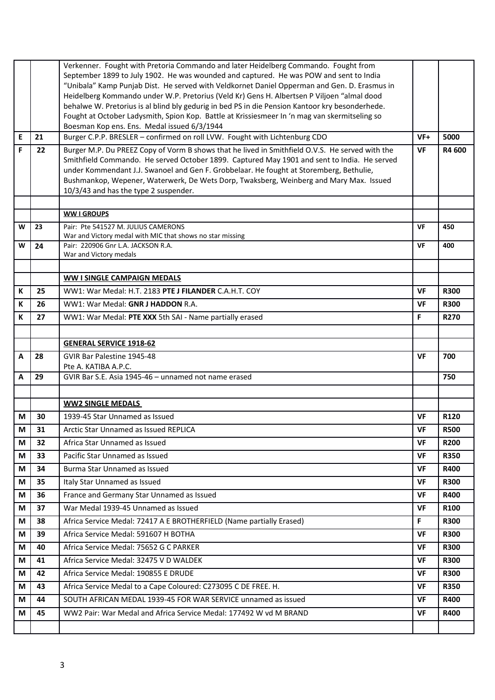|   |    | Verkenner. Fought with Pretoria Commando and later Heidelberg Commando. Fought from                                                                                                        |           |             |  |  |  |  |  |
|---|----|--------------------------------------------------------------------------------------------------------------------------------------------------------------------------------------------|-----------|-------------|--|--|--|--|--|
|   |    | September 1899 to July 1902. He was wounded and captured. He was POW and sent to India                                                                                                     |           |             |  |  |  |  |  |
|   |    | "Unibala" Kamp Punjab Dist. He served with Veldkornet Daniel Opperman and Gen. D. Erasmus in<br>Heidelberg Kommando under W.P. Pretorius (Veld Kr) Gens H. Albertsen P Viljoen "almal dood |           |             |  |  |  |  |  |
|   |    |                                                                                                                                                                                            |           |             |  |  |  |  |  |
|   |    | behalwe W. Pretorius is al blind bly gedurig in bed PS in die Pension Kantoor kry besonderhede.                                                                                            |           |             |  |  |  |  |  |
|   |    | Fought at October Ladysmith, Spion Kop. Battle at Krissiesmeer In 'n mag van skermitseling so                                                                                              |           |             |  |  |  |  |  |
| E | 21 | Boesman Kop ens. Ens. Medal issued 6/3/1944<br>Burger C.P.P. BRESLER - confirmed on roll LVW. Fought with Lichtenburg CDO                                                                  | $VF+$     | 5000        |  |  |  |  |  |
|   |    |                                                                                                                                                                                            |           |             |  |  |  |  |  |
| F | 22 | Burger M.P. Du PREEZ Copy of Vorm B shows that he lived in Smithfield O.V.S. He served with the                                                                                            | <b>VF</b> | R4 600      |  |  |  |  |  |
|   |    | Smithfield Commando. He served October 1899. Captured May 1901 and sent to India. He served<br>under Kommendant J.J. Swanoel and Gen F. Grobbelaar. He fought at Storemberg, Bethulie,     |           |             |  |  |  |  |  |
|   |    | Bushmankop, Wepener, Waterwerk, De Wets Dorp, Twaksberg, Weinberg and Mary Max. Issued                                                                                                     |           |             |  |  |  |  |  |
|   |    | 10/3/43 and has the type 2 suspender.                                                                                                                                                      |           |             |  |  |  |  |  |
|   |    |                                                                                                                                                                                            |           |             |  |  |  |  |  |
|   |    | <b>WW I GROUPS</b>                                                                                                                                                                         |           |             |  |  |  |  |  |
| W | 23 | Pair: Pte 541527 M. JULIUS CAMERONS                                                                                                                                                        | VF        | 450         |  |  |  |  |  |
|   |    | War and Victory medal with MIC that shows no star missing                                                                                                                                  |           |             |  |  |  |  |  |
| W | 24 | Pair: 220906 Gnr L.A. JACKSON R.A.                                                                                                                                                         | VF        | 400         |  |  |  |  |  |
|   |    | War and Victory medals                                                                                                                                                                     |           |             |  |  |  |  |  |
|   |    |                                                                                                                                                                                            |           |             |  |  |  |  |  |
|   |    | <b>WW I SINGLE CAMPAIGN MEDALS</b>                                                                                                                                                         |           |             |  |  |  |  |  |
| К | 25 | WW1: War Medal: H.T. 2183 PTE J FILANDER C.A.H.T. COY                                                                                                                                      | VF        | <b>R300</b> |  |  |  |  |  |
| K | 26 | WW1: War Medal: GNR J HADDON R.A.                                                                                                                                                          | <b>VF</b> | <b>R300</b> |  |  |  |  |  |
| K | 27 | WW1: War Medal: PTE XXX 5th SAI - Name partially erased                                                                                                                                    | F.        | <b>R270</b> |  |  |  |  |  |
|   |    |                                                                                                                                                                                            |           |             |  |  |  |  |  |
|   |    | <b>GENERAL SERVICE 1918-62</b>                                                                                                                                                             |           |             |  |  |  |  |  |
| A | 28 | GVIR Bar Palestine 1945-48<br>Pte A. KATIBA A.P.C.                                                                                                                                         | <b>VF</b> | 700         |  |  |  |  |  |
| А | 29 | GVIR Bar S.E. Asia 1945-46 - unnamed not name erased                                                                                                                                       |           | 750         |  |  |  |  |  |
|   |    |                                                                                                                                                                                            |           |             |  |  |  |  |  |
|   |    | <b>WW2 SINGLE MEDALS</b>                                                                                                                                                                   |           |             |  |  |  |  |  |
| М | 30 | 1939-45 Star Unnamed as Issued                                                                                                                                                             | <b>VF</b> | R120        |  |  |  |  |  |
| М | 31 | Arctic Star Unnamed as Issued REPLICA                                                                                                                                                      | <b>VF</b> | <b>R500</b> |  |  |  |  |  |
| М | 32 | Africa Star Unnamed as Issued                                                                                                                                                              | <b>VF</b> | <b>R200</b> |  |  |  |  |  |
| M | 33 | Pacific Star Unnamed as Issued                                                                                                                                                             | VF        | <b>R350</b> |  |  |  |  |  |
| М | 34 | Burma Star Unnamed as Issued                                                                                                                                                               | <b>VF</b> | <b>R400</b> |  |  |  |  |  |
| M | 35 | Italy Star Unnamed as Issued                                                                                                                                                               | <b>VF</b> | <b>R300</b> |  |  |  |  |  |
| M | 36 | France and Germany Star Unnamed as Issued                                                                                                                                                  | VF        | <b>R400</b> |  |  |  |  |  |
| М | 37 | War Medal 1939-45 Unnamed as Issued                                                                                                                                                        | <b>VF</b> | R100        |  |  |  |  |  |
| M | 38 | Africa Service Medal: 72417 A E BROTHERFIELD (Name partially Erased)                                                                                                                       | F.        | <b>R300</b> |  |  |  |  |  |
| M | 39 | Africa Service Medal: 591607 H BOTHA                                                                                                                                                       | <b>VF</b> | <b>R300</b> |  |  |  |  |  |
| М | 40 | Africa Service Medal: 75652 G C PARKER                                                                                                                                                     | <b>VF</b> | <b>R300</b> |  |  |  |  |  |
| M | 41 | Africa Service Medal: 32475 V D WALDEK                                                                                                                                                     | VF        | <b>R300</b> |  |  |  |  |  |
| M | 42 | Africa Service Medal: 190855 E DRUDE                                                                                                                                                       | <b>VF</b> | <b>R300</b> |  |  |  |  |  |
| М | 43 | Africa Service Medal to a Cape Coloured: C273095 C DE FREE. H.                                                                                                                             | <b>VF</b> | <b>R350</b> |  |  |  |  |  |
| М | 44 | SOUTH AFRICAN MEDAL 1939-45 FOR WAR SERVICE unnamed as issued                                                                                                                              | <b>VF</b> | <b>R400</b> |  |  |  |  |  |
| М | 45 | WW2 Pair: War Medal and Africa Service Medal: 177492 W vd M BRAND                                                                                                                          | <b>VF</b> | <b>R400</b> |  |  |  |  |  |
|   |    |                                                                                                                                                                                            |           |             |  |  |  |  |  |
|   |    |                                                                                                                                                                                            |           |             |  |  |  |  |  |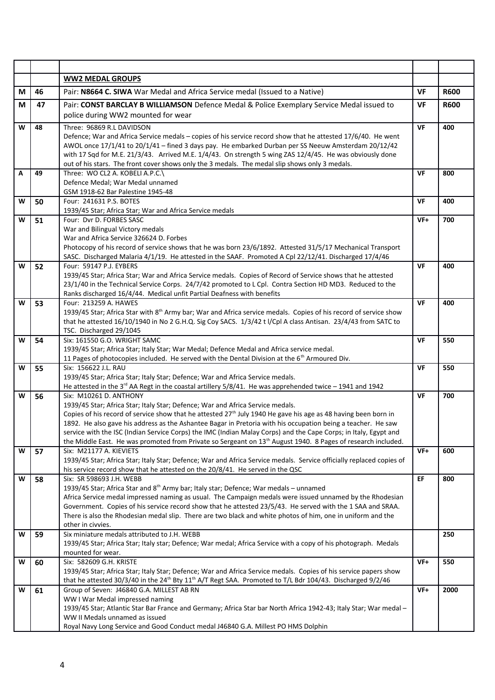|   |    | <b>WW2 MEDAL GROUPS</b>                                                                                                                                                                                                          |           |             |
|---|----|----------------------------------------------------------------------------------------------------------------------------------------------------------------------------------------------------------------------------------|-----------|-------------|
| M | 46 | Pair: N8664 C. SIWA War Medal and Africa Service medal (Issued to a Native)                                                                                                                                                      | VF        | <b>R600</b> |
| М | 47 | Pair: CONST BARCLAY B WILLIAMSON Defence Medal & Police Exemplary Service Medal issued to                                                                                                                                        | <b>VF</b> | <b>R600</b> |
|   |    | police during WW2 mounted for wear                                                                                                                                                                                               |           |             |
| W | 48 | Three: 96869 R.L DAVIDSON                                                                                                                                                                                                        | VF        | 400         |
|   |    | Defence; War and Africa Service medals - copies of his service record show that he attested 17/6/40. He went<br>AWOL once 17/1/41 to 20/1/41 - fined 3 days pay. He embarked Durban per SS Neeuw Amsterdam 20/12/42              |           |             |
|   |    | with 17 Sqd for M.E. 21/3/43. Arrived M.E. 1/4/43. On strength 5 wing ZAS 12/4/45. He was obviously done                                                                                                                         |           |             |
|   |    | out of his stars. The front cover shows only the 3 medals. The medal slip shows only 3 medals.                                                                                                                                   |           |             |
| Α | 49 | Three: WO CL2 A. KOBELI A.P.C.\                                                                                                                                                                                                  | VF        | 800         |
|   |    | Defence Medal; War Medal unnamed<br>GSM 1918-62 Bar Palestine 1945-48                                                                                                                                                            |           |             |
| W | 50 | Four: 241631 P.S. BOTES                                                                                                                                                                                                          | VF        | 400         |
|   |    | 1939/45 Star; Africa Star; War and Africa Service medals                                                                                                                                                                         |           |             |
| W | 51 | Four: Dyr D. FORBES SASC                                                                                                                                                                                                         | VF+       | 700         |
|   |    | War and Bilingual Victory medals<br>War and Africa Service 326624 D. Forbes                                                                                                                                                      |           |             |
|   |    | Photocopy of his record of service shows that he was born 23/6/1892. Attested 31/5/17 Mechanical Transport                                                                                                                       |           |             |
|   |    | SASC. Discharged Malaria 4/1/19. He attested in the SAAF. Promoted A Cpl 22/12/41. Discharged 17/4/46                                                                                                                            |           |             |
| W | 52 | Four: 59147 P.J. EYBERS<br>1939/45 Star; Africa Star; War and Africa Service medals. Copies of Record of Service shows that he attested                                                                                          | VF        | 400         |
|   |    | 23/1/40 in the Technical Service Corps. 24/7/42 promoted to L Cpl. Contra Section HD MD3. Reduced to the                                                                                                                         |           |             |
|   |    | Ranks discharged 16/4/44. Medical unfit Partial Deafness with benefits                                                                                                                                                           |           |             |
| W | 53 | Four: 213259 A. HAWES<br>1939/45 Star; Africa Star with 8 <sup>th</sup> Army bar; War and Africa service medals. Copies of his record of service show                                                                            | <b>VF</b> | 400         |
|   |    | that he attested 16/10/1940 in No 2 G.H.Q. Sig Coy SACS. 1/3/42 t l/Cpl A class Antisan. 23/4/43 from SATC to                                                                                                                    |           |             |
|   |    | TSC. Discharged 29/1045                                                                                                                                                                                                          |           |             |
| W | 54 | Six: 161550 G.O. WRIGHT SAMC                                                                                                                                                                                                     | <b>VF</b> | 550         |
|   |    | 1939/45 Star; Africa Star; Italy Star; War Medal; Defence Medal and Africa service medal.<br>11 Pages of photocopies included. He served with the Dental Division at the 6 <sup>th</sup> Armoured Div.                           |           |             |
| W | 55 | Six: 156622 J.L. RAU                                                                                                                                                                                                             | <b>VF</b> | 550         |
|   |    | 1939/45 Star; Africa Star; Italy Star; Defence; War and Africa Service medals.                                                                                                                                                   |           |             |
| W | 56 | He attested in the 3 <sup>rd</sup> AA Regt in the coastal artillery $5/8/41$ . He was apprehended twice - 1941 and 1942<br>Six: M10261 D. ANTHONY                                                                                | VF        | 700         |
|   |    | 1939/45 Star; Africa Star; Italy Star; Defence; War and Africa Service medals.                                                                                                                                                   |           |             |
|   |    | Copies of his record of service show that he attested $27th$ July 1940 He gave his age as 48 having been born in                                                                                                                 |           |             |
|   |    | 1892. He also gave his address as the Ashantee Bagar in Pretoria with his occupation being a teacher. He saw<br>service with the ISC (Indian Service Corps) the IMC (Indian Malay Corps) and the Cape Corps; in Italy, Egypt and |           |             |
|   |    | the Middle East. He was promoted from Private so Sergeant on 13 <sup>th</sup> August 1940. 8 Pages of research included.                                                                                                         |           |             |
| W | 57 | Six: M21177 A. KIEVIETS                                                                                                                                                                                                          | $VF+$     | 600         |
|   |    | 1939/45 Star; Africa Star; Italy Star; Defence; War and Africa Service medals. Service officially replaced copies of                                                                                                             |           |             |
| W | 58 | his service record show that he attested on the 20/8/41. He served in the QSC<br>Six: SR 598693 J.H. WEBB                                                                                                                        | EF        | 800         |
|   |    | 1939/45 Star; Africa Star and 8 <sup>th</sup> Army bar; Italy star; Defence; War medals - unnamed                                                                                                                                |           |             |
|   |    | Africa Service medal impressed naming as usual. The Campaign medals were issued unnamed by the Rhodesian                                                                                                                         |           |             |
|   |    | Government. Copies of his service record show that he attested 23/5/43. He served with the 1 SAA and SRAA.<br>There is also the Rhodesian medal slip. There are two black and white photos of him, one in uniform and the        |           |             |
|   |    | other in civvies.                                                                                                                                                                                                                |           |             |
| W | 59 | Six miniature medals attributed to J.H. WEBB                                                                                                                                                                                     |           | 250         |
|   |    | 1939/45 Star; Africa Star; Italy star; Defence; War medal; Africa Service with a copy of his photograph. Medals<br>mounted for wear.                                                                                             |           |             |
| W | 60 | Six: 582609 G.H. KRISTE                                                                                                                                                                                                          | $VF+$     | 550         |
|   |    | 1939/45 Star; Africa Star; Italy Star; Defence; War and Africa Service medals. Copies of his service papers show                                                                                                                 |           |             |
| W |    | that he attested 30/3/40 in the 24 <sup>th</sup> Bty 11 <sup>th</sup> A/T Regt SAA. Promoted to T/L Bdr 104/43. Discharged 9/2/46<br>Group of Seven: J46840 G.A. MILLEST AB RN                                                   | VF+       | 2000        |
|   | 61 | WW I War Medal impressed naming                                                                                                                                                                                                  |           |             |
|   |    | 1939/45 Star; Atlantic Star Bar France and Germany; Africa Star bar North Africa 1942-43; Italy Star; War medal -                                                                                                                |           |             |
|   |    | WW II Medals unnamed as issued                                                                                                                                                                                                   |           |             |
|   |    | Royal Navy Long Service and Good Conduct medal J46840 G.A. Millest PO HMS Dolphin                                                                                                                                                |           |             |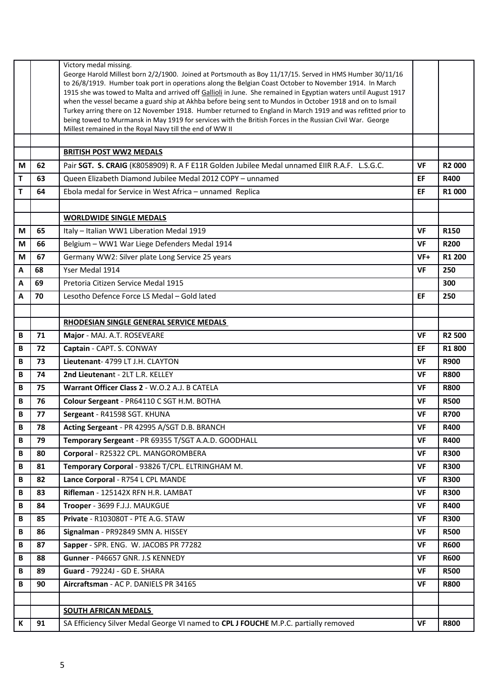|   |    | Victory medal missing.<br>George Harold Millest born 2/2/1900. Joined at Portsmouth as Boy 11/17/15. Served in HMS Humber 30/11/16<br>to 26/8/1919. Humber toak port in operations along the Belgian Coast October to November 1914. In March<br>1915 she was towed to Malta and arrived off Gallioli in June. She remained in Egyptian waters until August 1917<br>when the vessel became a guard ship at Akhba before being sent to Mundos in October 1918 and on to Ismail<br>Turkey arring there on 12 November 1918. Humber returned to England in March 1919 and was refitted prior to<br>being towed to Murmansk in May 1919 for services with the British Forces in the Russian Civil War. George<br>Millest remained in the Royal Navy till the end of WW II |           |                    |
|---|----|-----------------------------------------------------------------------------------------------------------------------------------------------------------------------------------------------------------------------------------------------------------------------------------------------------------------------------------------------------------------------------------------------------------------------------------------------------------------------------------------------------------------------------------------------------------------------------------------------------------------------------------------------------------------------------------------------------------------------------------------------------------------------|-----------|--------------------|
|   |    | <b>BRITISH POST WW2 MEDALS</b>                                                                                                                                                                                                                                                                                                                                                                                                                                                                                                                                                                                                                                                                                                                                        |           |                    |
| M | 62 | Pair SGT. S. CRAIG (K8058909) R. A F E11R Golden Jubilee Medal unnamed EIIR R.A.F. L.S.G.C.                                                                                                                                                                                                                                                                                                                                                                                                                                                                                                                                                                                                                                                                           | <b>VF</b> | R <sub>2</sub> 000 |
| т | 63 | Queen Elizabeth Diamond Jubilee Medal 2012 COPY - unnamed                                                                                                                                                                                                                                                                                                                                                                                                                                                                                                                                                                                                                                                                                                             | EF        | <b>R400</b>        |
| т | 64 | Ebola medal for Service in West Africa - unnamed Replica                                                                                                                                                                                                                                                                                                                                                                                                                                                                                                                                                                                                                                                                                                              | EF        | R1 000             |
|   |    |                                                                                                                                                                                                                                                                                                                                                                                                                                                                                                                                                                                                                                                                                                                                                                       |           |                    |
|   |    | <b>WORLDWIDE SINGLE MEDALS</b>                                                                                                                                                                                                                                                                                                                                                                                                                                                                                                                                                                                                                                                                                                                                        |           |                    |
| M | 65 | Italy - Italian WW1 Liberation Medal 1919                                                                                                                                                                                                                                                                                                                                                                                                                                                                                                                                                                                                                                                                                                                             | <b>VF</b> | R150               |
| М | 66 | Belgium - WW1 War Liege Defenders Medal 1914                                                                                                                                                                                                                                                                                                                                                                                                                                                                                                                                                                                                                                                                                                                          | <b>VF</b> | <b>R200</b>        |
| M | 67 | Germany WW2: Silver plate Long Service 25 years                                                                                                                                                                                                                                                                                                                                                                                                                                                                                                                                                                                                                                                                                                                       | $VF+$     | R1 200             |
| A | 68 | Yser Medal 1914                                                                                                                                                                                                                                                                                                                                                                                                                                                                                                                                                                                                                                                                                                                                                       | VF        | 250                |
| A | 69 | Pretoria Citizen Service Medal 1915                                                                                                                                                                                                                                                                                                                                                                                                                                                                                                                                                                                                                                                                                                                                   |           | 300                |
| A | 70 | Lesotho Defence Force LS Medal - Gold lated                                                                                                                                                                                                                                                                                                                                                                                                                                                                                                                                                                                                                                                                                                                           | EF        | 250                |
|   |    |                                                                                                                                                                                                                                                                                                                                                                                                                                                                                                                                                                                                                                                                                                                                                                       |           |                    |
|   |    | RHODESIAN SINGLE GENERAL SERVICE MEDALS                                                                                                                                                                                                                                                                                                                                                                                                                                                                                                                                                                                                                                                                                                                               |           |                    |
| В | 71 | Major - MAJ. A.T. ROSEVEARE                                                                                                                                                                                                                                                                                                                                                                                                                                                                                                                                                                                                                                                                                                                                           | <b>VF</b> | R <sub>2</sub> 500 |
| B | 72 | Captain - CAPT. S. CONWAY                                                                                                                                                                                                                                                                                                                                                                                                                                                                                                                                                                                                                                                                                                                                             | EF        | R1800              |
| В | 73 | Lieutenant- 4799 LT J.H. CLAYTON                                                                                                                                                                                                                                                                                                                                                                                                                                                                                                                                                                                                                                                                                                                                      | VF        | <b>R900</b>        |
| B | 74 | 2nd Lieutenant - 2LT L.R. KELLEY                                                                                                                                                                                                                                                                                                                                                                                                                                                                                                                                                                                                                                                                                                                                      | VF        | <b>R800</b>        |
| B | 75 | Warrant Officer Class 2 - W.O.2 A.J. B CATELA                                                                                                                                                                                                                                                                                                                                                                                                                                                                                                                                                                                                                                                                                                                         | VF        | <b>R800</b>        |
| В | 76 | Colour Sergeant - PR64110 C SGT H.M. BOTHA                                                                                                                                                                                                                                                                                                                                                                                                                                                                                                                                                                                                                                                                                                                            | VF        | <b>R500</b>        |
| В | 77 | Sergeant - R41598 SGT. KHUNA                                                                                                                                                                                                                                                                                                                                                                                                                                                                                                                                                                                                                                                                                                                                          | VF        | <b>R700</b>        |
| B | 78 | Acting Sergeant - PR 42995 A/SGT D.B. BRANCH                                                                                                                                                                                                                                                                                                                                                                                                                                                                                                                                                                                                                                                                                                                          | VF        | <b>R400</b>        |
| В | 79 | Temporary Sergeant - PR 69355 T/SGT A.A.D. GOODHALL                                                                                                                                                                                                                                                                                                                                                                                                                                                                                                                                                                                                                                                                                                                   | <b>VF</b> | <b>R400</b>        |
| В | 80 | Corporal - R25322 CPL. MANGOROMBERA                                                                                                                                                                                                                                                                                                                                                                                                                                                                                                                                                                                                                                                                                                                                   | <b>VF</b> | <b>R300</b>        |
| В | 81 | Temporary Corporal - 93826 T/CPL. ELTRINGHAM M.                                                                                                                                                                                                                                                                                                                                                                                                                                                                                                                                                                                                                                                                                                                       | <b>VF</b> | <b>R300</b>        |
| B | 82 | Lance Corporal - R754 L CPL MANDE                                                                                                                                                                                                                                                                                                                                                                                                                                                                                                                                                                                                                                                                                                                                     | <b>VF</b> | <b>R300</b>        |
| В | 83 | Rifleman - 125142X RFN H.R. LAMBAT                                                                                                                                                                                                                                                                                                                                                                                                                                                                                                                                                                                                                                                                                                                                    | <b>VF</b> | <b>R300</b>        |
| В | 84 | Trooper - 3699 F.J.J. MAUKGUE                                                                                                                                                                                                                                                                                                                                                                                                                                                                                                                                                                                                                                                                                                                                         | <b>VF</b> | <b>R400</b>        |
| В | 85 | Private - R103080T - PTE A.G. STAW                                                                                                                                                                                                                                                                                                                                                                                                                                                                                                                                                                                                                                                                                                                                    | <b>VF</b> | <b>R300</b>        |
| В | 86 | Signalman - PR92849 SMN A. HISSEY                                                                                                                                                                                                                                                                                                                                                                                                                                                                                                                                                                                                                                                                                                                                     | VF        | <b>R500</b>        |
| В | 87 | Sapper - SPR. ENG. W. JACOBS PR 77282                                                                                                                                                                                                                                                                                                                                                                                                                                                                                                                                                                                                                                                                                                                                 | <b>VF</b> | <b>R600</b>        |
| В | 88 | Gunner - P46657 GNR. J.S KENNEDY                                                                                                                                                                                                                                                                                                                                                                                                                                                                                                                                                                                                                                                                                                                                      | <b>VF</b> | <b>R600</b>        |
| В | 89 | Guard - 79224J - GD E. SHARA                                                                                                                                                                                                                                                                                                                                                                                                                                                                                                                                                                                                                                                                                                                                          | <b>VF</b> | <b>R500</b>        |
| В | 90 | Aircraftsman - AC P. DANIELS PR 34165                                                                                                                                                                                                                                                                                                                                                                                                                                                                                                                                                                                                                                                                                                                                 | <b>VF</b> | <b>R800</b>        |
|   |    |                                                                                                                                                                                                                                                                                                                                                                                                                                                                                                                                                                                                                                                                                                                                                                       |           |                    |
|   |    | <b>SOUTH AFRICAN MEDALS</b>                                                                                                                                                                                                                                                                                                                                                                                                                                                                                                                                                                                                                                                                                                                                           |           |                    |
| К | 91 | SA Efficiency Silver Medal George VI named to CPL J FOUCHE M.P.C. partially removed                                                                                                                                                                                                                                                                                                                                                                                                                                                                                                                                                                                                                                                                                   | <b>VF</b> | <b>R800</b>        |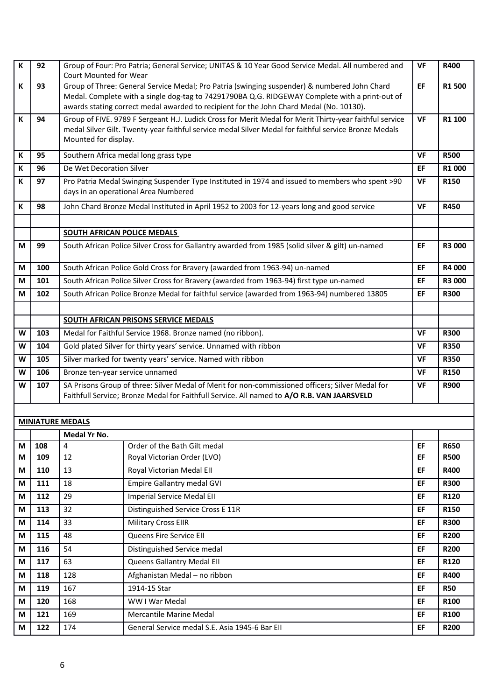| K      | 92         | Court Mounted for Wear             | Group of Four: Pro Patria; General Service; UNITAS & 10 Year Good Service Medal. All numbered and                                                                                                                                                                                         | <b>VF</b> | <b>R400</b>                |  |  |  |
|--------|------------|------------------------------------|-------------------------------------------------------------------------------------------------------------------------------------------------------------------------------------------------------------------------------------------------------------------------------------------|-----------|----------------------------|--|--|--|
| К      | 93         |                                    | Group of Three: General Service Medal; Pro Patria (swinging suspender) & numbered John Chard<br>Medal. Complete with a single dog-tag to 74291790BA Q.G. RIDGEWAY Complete with a print-out of<br>awards stating correct medal awarded to recipient for the John Chard Medal (No. 10130). |           |                            |  |  |  |
| K      | 94         | Mounted for display.               | Group of FIVE. 9789 F Sergeant H.J. Ludick Cross for Merit Medal for Merit Thirty-year faithful service<br>medal Silver Gilt. Twenty-year faithful service medal Silver Medal for faithful service Bronze Medals                                                                          | <b>VF</b> | R1 100                     |  |  |  |
| K      | 95         |                                    | Southern Africa medal long grass type                                                                                                                                                                                                                                                     | <b>VF</b> | <b>R500</b>                |  |  |  |
| К      | 96         | De Wet Decoration Silver           |                                                                                                                                                                                                                                                                                           | EF        | R1 000                     |  |  |  |
| К      | 97         |                                    | Pro Patria Medal Swinging Suspender Type Instituted in 1974 and issued to members who spent >90<br>days in an operational Area Numbered                                                                                                                                                   | <b>VF</b> | R150                       |  |  |  |
| К      | 98         |                                    | John Chard Bronze Medal Instituted in April 1952 to 2003 for 12-years long and good service                                                                                                                                                                                               | <b>VF</b> | <b>R450</b>                |  |  |  |
|        |            |                                    |                                                                                                                                                                                                                                                                                           |           |                            |  |  |  |
|        |            | <b>SOUTH AFRICAN POLICE MEDALS</b> |                                                                                                                                                                                                                                                                                           |           |                            |  |  |  |
| M      | 99         |                                    | South African Police Silver Cross for Gallantry awarded from 1985 (solid silver & gilt) un-named                                                                                                                                                                                          | EF        | R3 000                     |  |  |  |
| M      | 100        |                                    | South African Police Gold Cross for Bravery (awarded from 1963-94) un-named                                                                                                                                                                                                               | EF        | R4 000                     |  |  |  |
| M      | 101        |                                    | South African Police Silver Cross for Bravery (awarded from 1963-94) first type un-named                                                                                                                                                                                                  | EF        | R3 000                     |  |  |  |
| М      | 102        |                                    | South African Police Bronze Medal for faithful service (awarded from 1963-94) numbered 13805                                                                                                                                                                                              | EF        | <b>R300</b>                |  |  |  |
|        |            |                                    |                                                                                                                                                                                                                                                                                           |           |                            |  |  |  |
|        |            |                                    | <b>SOUTH AFRICAN PRISONS SERVICE MEDALS</b>                                                                                                                                                                                                                                               |           |                            |  |  |  |
| W      | 103        |                                    | Medal for Faithful Service 1968. Bronze named (no ribbon).                                                                                                                                                                                                                                | <b>VF</b> | <b>R300</b><br><b>R350</b> |  |  |  |
| W      | 104        |                                    | Gold plated Silver for thirty years' service. Unnamed with ribbon                                                                                                                                                                                                                         |           |                            |  |  |  |
| W      | 105        |                                    | Silver marked for twenty years' service. Named with ribbon                                                                                                                                                                                                                                |           |                            |  |  |  |
| W      | 106        | Bronze ten-year service unnamed    |                                                                                                                                                                                                                                                                                           | VF        | R150                       |  |  |  |
| W      | 107        |                                    | SA Prisons Group of three: Silver Medal of Merit for non-commissioned officers; Silver Medal for<br>Faithfull Service; Bronze Medal for Faithfull Service. All named to A/O R.B. VAN JAARSVELD                                                                                            | <b>VF</b> | <b>R900</b>                |  |  |  |
|        |            |                                    |                                                                                                                                                                                                                                                                                           |           |                            |  |  |  |
|        |            | <b>MINIATURE MEDALS</b>            |                                                                                                                                                                                                                                                                                           |           |                            |  |  |  |
|        |            | Medal Yr No.                       |                                                                                                                                                                                                                                                                                           |           |                            |  |  |  |
| M<br>M | 108<br>109 | 4<br>12                            | Order of the Bath Gilt medal<br>Royal Victorian Order (LVO)                                                                                                                                                                                                                               | EF<br>EF  | <b>R650</b><br><b>R500</b> |  |  |  |
| M      | 110        | 13                                 | Royal Victorian Medal Ell                                                                                                                                                                                                                                                                 | EF        | R400                       |  |  |  |
| M      | 111        | 18                                 | <b>Empire Gallantry medal GVI</b>                                                                                                                                                                                                                                                         | EF        | <b>R300</b>                |  |  |  |
| M      | 112        | 29                                 | <b>Imperial Service Medal EII</b>                                                                                                                                                                                                                                                         | EF        | R120                       |  |  |  |
| M      | 113        | 32                                 | Distinguished Service Cross E 11R                                                                                                                                                                                                                                                         | EF        | R150                       |  |  |  |
| M      | 114        | 33                                 | <b>Military Cross EllR</b>                                                                                                                                                                                                                                                                | EF        | <b>R300</b>                |  |  |  |
| М      | 115        | 48                                 | Queens Fire Service Ell                                                                                                                                                                                                                                                                   | EF        | <b>R200</b>                |  |  |  |
| M      | 116        | 54                                 | Distinguished Service medal                                                                                                                                                                                                                                                               | EF        | <b>R200</b>                |  |  |  |
| М      | 117        | 63                                 | Queens Gallantry Medal Ell                                                                                                                                                                                                                                                                | EF        | R120                       |  |  |  |
| М      | 118        | 128                                | Afghanistan Medal - no ribbon                                                                                                                                                                                                                                                             | EF        | R400                       |  |  |  |
| M      | 119        | 167                                | 1914-15 Star                                                                                                                                                                                                                                                                              | EF        | <b>R50</b>                 |  |  |  |
| М      | 120        | 168                                | WW I War Medal                                                                                                                                                                                                                                                                            | EF        | R100                       |  |  |  |
| M      | 121        | 169                                | Mercantile Marine Medal                                                                                                                                                                                                                                                                   | EF        | R100                       |  |  |  |
| M      | 122        | 174                                | General Service medal S.E. Asia 1945-6 Bar Ell                                                                                                                                                                                                                                            | EF        | <b>R200</b>                |  |  |  |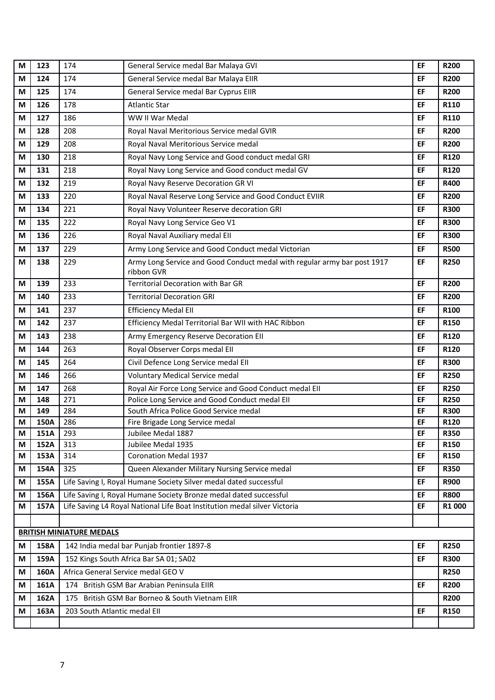| M | 123  | 174                             | General Service medal Bar Malaya GVI                                      | EF | <b>R200</b> |
|---|------|---------------------------------|---------------------------------------------------------------------------|----|-------------|
| M | 124  | 174                             | General Service medal Bar Malaya EIIR                                     | EF | <b>R200</b> |
| M | 125  | 174                             | General Service medal Bar Cyprus EIIR                                     | EF | <b>R200</b> |
| M | 126  | 178                             | <b>Atlantic Star</b>                                                      | EF | R110        |
| M | 127  | 186                             | WW II War Medal                                                           | EF | R110        |
| M | 128  | 208                             | Royal Naval Meritorious Service medal GVIR                                | EF | <b>R200</b> |
| M | 129  | 208                             | Royal Naval Meritorious Service medal                                     | EF | <b>R200</b> |
| M | 130  | 218                             | Royal Navy Long Service and Good conduct medal GRI                        | EF | R120        |
| M | 131  | 218                             | Royal Navy Long Service and Good conduct medal GV                         | EF | R120        |
| M | 132  | 219                             | Royal Navy Reserve Decoration GR VI                                       | EF | <b>R400</b> |
| M | 133  | 220                             | Royal Naval Reserve Long Service and Good Conduct EVIIR                   | EF | <b>R200</b> |
| M | 134  | 221                             | Royal Navy Volunteer Reserve decoration GRI                               | EF | <b>R300</b> |
| М | 135  | 222                             | Royal Navy Long Service Geo V1                                            | EF | <b>R300</b> |
| M | 136  | 226                             | Royal Naval Auxiliary medal Ell                                           | EF | <b>R300</b> |
| M | 137  | 229                             | Army Long Service and Good Conduct medal Victorian                        | EF | <b>R500</b> |
| M | 138  | 229                             | Army Long Service and Good Conduct medal with regular army bar post 1917  | EF | <b>R250</b> |
| М | 139  | 233                             | ribbon GVR<br>Territorial Decoration with Bar GR                          | EF | <b>R200</b> |
| M | 140  | 233                             | <b>Territorial Decoration GRI</b>                                         | EF | <b>R200</b> |
| M | 141  | 237                             | <b>Efficiency Medal Ell</b>                                               | EF | R100        |
| M | 142  | 237                             | Efficiency Medal Territorial Bar WII with HAC Ribbon                      | EF | R150        |
| M | 143  | 238                             | Army Emergency Reserve Decoration Ell                                     | EF | R120        |
| М | 144  | 263                             | Royal Observer Corps medal EII                                            | EF | R120        |
| М | 145  | 264                             | Civil Defence Long Service medal EII                                      | EF | <b>R300</b> |
| M | 146  | 266                             | Voluntary Medical Service medal                                           | EF | <b>R250</b> |
| М | 147  | 268                             | Royal Air Force Long Service and Good Conduct medal EII                   | EF | <b>R250</b> |
| M | 148  | 271                             | Police Long Service and Good Conduct medal Ell                            | EF | <b>R250</b> |
| M | 149  | 284                             | South Africa Police Good Service medal                                    | EF | <b>R300</b> |
| М | 150A | 286                             | Fire Brigade Long Service medal                                           | EF | R120        |
| M | 151A | 293                             | Jubilee Medal 1887                                                        | EF | <b>R350</b> |
| М | 152A | 313                             | Jubilee Medal 1935                                                        | EF | R150        |
| M | 153A | 314                             | <b>Coronation Medal 1937</b>                                              | EF | R150        |
| M | 154A | 325                             | Queen Alexander Military Nursing Service medal                            | EF | <b>R350</b> |
| М | 155A |                                 | Life Saving I, Royal Humane Society Silver medal dated successful         | EF | <b>R900</b> |
| M | 156A |                                 | Life Saving I, Royal Humane Society Bronze medal dated successful         | EF | <b>R800</b> |
| M | 157A |                                 | Life Saving L4 Royal National Life Boat Institution medal silver Victoria | EF | R1 000      |
|   |      |                                 |                                                                           |    |             |
|   |      | <b>BRITISH MINIATURE MEDALS</b> |                                                                           |    |             |
| M | 158A |                                 | 142 India medal bar Punjab frontier 1897-8                                | EF | <b>R250</b> |
| M | 159A |                                 | 152 Kings South Africa Bar SA 01; SA02                                    | EF | <b>R300</b> |
| М | 160A |                                 | Africa General Service medal GEO V                                        |    | <b>R250</b> |
| M | 161A |                                 | 174 British GSM Bar Arabian Peninsula EIIR                                | EF | <b>R200</b> |
| M | 162A |                                 | 175 British GSM Bar Borneo & South Vietnam EllR                           |    | <b>R200</b> |
| M | 163A | 203 South Atlantic medal EII    |                                                                           | EF | R150        |
|   |      |                                 |                                                                           |    |             |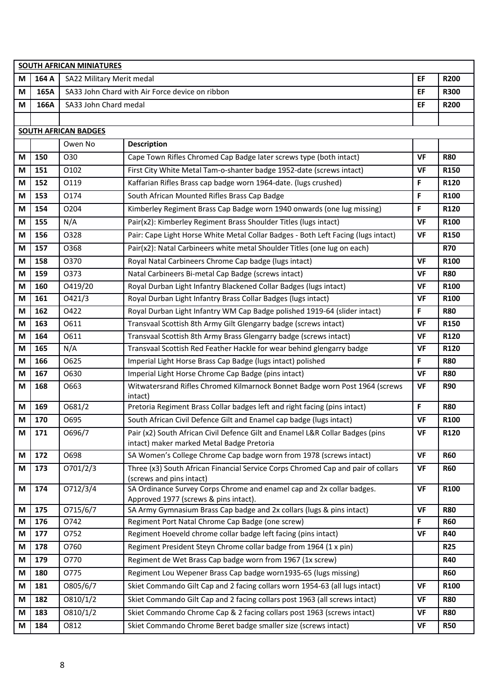|   | <b>SOUTH AFRICAN MINIATURES</b> |                             |                                                                                                                            |           |             |  |  |  |
|---|---------------------------------|-----------------------------|----------------------------------------------------------------------------------------------------------------------------|-----------|-------------|--|--|--|
| М | 164 A                           | SA22 Military Merit medal   |                                                                                                                            | EF        | <b>R200</b> |  |  |  |
| М | 165A                            |                             | SA33 John Chard with Air Force device on ribbon                                                                            | EF        | <b>R300</b> |  |  |  |
| М | 166A                            | SA33 John Chard medal       |                                                                                                                            |           | <b>R200</b> |  |  |  |
|   |                                 |                             |                                                                                                                            |           |             |  |  |  |
|   |                                 | <b>SOUTH AFRICAN BADGES</b> |                                                                                                                            |           |             |  |  |  |
|   |                                 | Owen No                     | <b>Description</b>                                                                                                         |           |             |  |  |  |
| М | 150                             | 030                         | Cape Town Rifles Chromed Cap Badge later screws type (both intact)                                                         | <b>VF</b> | <b>R80</b>  |  |  |  |
| М | 151                             | 0102                        | First City White Metal Tam-o-shanter badge 1952-date (screws intact)                                                       | <b>VF</b> | R150        |  |  |  |
| М | 152                             | 0119                        | Kaffarian Rifles Brass cap badge worn 1964-date. (lugs crushed)                                                            | F         | R120        |  |  |  |
| М | 153                             | 0174                        | South African Mounted Rifles Brass Cap Badge                                                                               | F         | R100        |  |  |  |
| М | 154                             | O204                        | Kimberley Regiment Brass Cap Badge worn 1940 onwards (one lug missing)                                                     | F         | R120        |  |  |  |
| M | 155                             | N/A                         | Pair(x2): Kimberley Regiment Brass Shoulder Titles (lugs intact)                                                           | <b>VF</b> | R100        |  |  |  |
| М | 156                             | 0328                        | Pair: Cape Light Horse White Metal Collar Badges - Both Left Facing (lugs intact)                                          | <b>VF</b> | R150        |  |  |  |
| М | 157                             | 0368                        | Pair(x2): Natal Carbineers white metal Shoulder Titles (one lug on each)                                                   |           | <b>R70</b>  |  |  |  |
| М | 158                             | 0370                        | Royal Natal Carbineers Chrome Cap badge (lugs intact)                                                                      | <b>VF</b> | R100        |  |  |  |
| М | 159                             | 0373                        | Natal Carbineers Bi-metal Cap Badge (screws intact)                                                                        | <b>VF</b> | <b>R80</b>  |  |  |  |
| М | 160                             | O419/20                     | Royal Durban Light Infantry Blackened Collar Badges (lugs intact)                                                          | <b>VF</b> | R100        |  |  |  |
| М | 161                             | 0421/3                      | Royal Durban Light Infantry Brass Collar Badges (lugs intact)                                                              | <b>VF</b> | R100        |  |  |  |
| M | 162                             | 0422                        | Royal Durban Light Infantry WM Cap Badge polished 1919-64 (slider intact)                                                  | F         | <b>R80</b>  |  |  |  |
| М | 163                             | 0611                        | Transvaal Scottish 8th Army Gilt Glengarry badge (screws intact)                                                           | <b>VF</b> | R150        |  |  |  |
| М | 164                             | 0611                        | Transvaal Scottish 8th Army Brass Glengarry badge (screws intact)                                                          | <b>VF</b> | R120        |  |  |  |
| М | 165                             | N/A                         | Transvaal Scottish Red Feather Hackle for wear behind glengarry badge                                                      | VF        | R120        |  |  |  |
| М | 166                             | 0625                        | Imperial Light Horse Brass Cap Badge (lugs intact) polished                                                                | F         | <b>R80</b>  |  |  |  |
| М | 167                             | O630                        | Imperial Light Horse Chrome Cap Badge (pins intact)                                                                        | <b>VF</b> | <b>R80</b>  |  |  |  |
| М | 168                             | O663                        | Witwatersrand Rifles Chromed Kilmarnock Bonnet Badge worn Post 1964 (screws<br>intact)                                     | VF        | <b>R90</b>  |  |  |  |
| М | 169                             | 0681/2                      | Pretoria Regiment Brass Collar badges left and right facing (pins intact)                                                  | F         | <b>R80</b>  |  |  |  |
| M | 170                             | O695                        | South African Civil Defence Gilt and Enamel cap badge (lugs intact)                                                        | <b>VF</b> | R100        |  |  |  |
| M | 171                             | 0696/7                      | Pair (x2) South African Civil Defence Gilt and Enamel L&R Collar Badges (pins<br>intact) maker marked Metal Badge Pretoria | <b>VF</b> | R120        |  |  |  |
| M | 172                             | O698                        | SA Women's College Chrome Cap badge worn from 1978 (screws intact)                                                         | <b>VF</b> | <b>R60</b>  |  |  |  |
| M | 173                             | 0701/2/3                    | Three (x3) South African Financial Service Corps Chromed Cap and pair of collars<br>(screws and pins intact)               | VF        | <b>R60</b>  |  |  |  |
| М | 174                             | 0712/3/4                    | SA Ordinance Survey Corps Chrome and enamel cap and 2x collar badges.                                                      | <b>VF</b> | R100        |  |  |  |
| M | 175                             | 0715/6/7                    | Approved 1977 (screws & pins intact).<br>SA Army Gymnasium Brass Cap badge and 2x collars (lugs & pins intact)             | <b>VF</b> | <b>R80</b>  |  |  |  |
| M | 176                             | 0742                        | Regiment Port Natal Chrome Cap Badge (one screw)                                                                           | F.        | <b>R60</b>  |  |  |  |
| M | 177                             | 0752                        | Regiment Hoeveld chrome collar badge left facing (pins intact)                                                             | <b>VF</b> | <b>R40</b>  |  |  |  |
| M | 178                             | O760                        | Regiment President Steyn Chrome collar badge from 1964 (1 x pin)                                                           |           | <b>R25</b>  |  |  |  |
| M | 179                             | 0770                        | Regiment de Wet Brass Cap badge worn from 1967 (1x screw)                                                                  |           | <b>R40</b>  |  |  |  |
| M | 180                             | 0775                        | Regiment Lou Wepener Brass Cap badge worn1935-65 (lugs missing)                                                            |           | <b>R60</b>  |  |  |  |
| M | 181                             | O805/6/7                    | Skiet Commando Gilt Cap and 2 facing collars worn 1954-63 (all lugs intact)                                                | <b>VF</b> | R100        |  |  |  |
| М | 182                             | 0810/1/2                    | Skiet Commando Gilt Cap and 2 facing collars post 1963 (all screws intact)                                                 | VF        | <b>R80</b>  |  |  |  |
| М | 183                             | 0810/1/2                    | Skiet Commando Chrome Cap & 2 facing collars post 1963 (screws intact)                                                     | <b>VF</b> | <b>R80</b>  |  |  |  |
| M | 184                             | 0812                        | Skiet Commando Chrome Beret badge smaller size (screws intact)                                                             | VF        | <b>R50</b>  |  |  |  |
|   |                                 |                             |                                                                                                                            |           |             |  |  |  |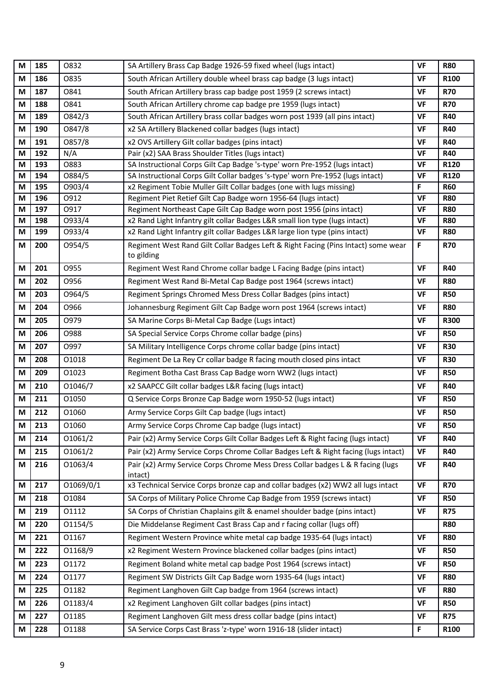| M      | 185        | 0832         | SA Artillery Brass Cap Badge 1926-59 fixed wheel (lugs intact)                                                                                     | <b>VF</b>              | <b>R80</b>               |
|--------|------------|--------------|----------------------------------------------------------------------------------------------------------------------------------------------------|------------------------|--------------------------|
| M      | 186        | 0835         | South African Artillery double wheel brass cap badge (3 lugs intact)                                                                               | <b>VF</b>              | R100                     |
| M      | 187        | 0841         | South African Artillery brass cap badge post 1959 (2 screws intact)                                                                                | VF                     | <b>R70</b>               |
| M      | 188        | 0841         | South African Artillery chrome cap badge pre 1959 (lugs intact)                                                                                    | <b>VF</b>              | <b>R70</b>               |
| M      | 189        | 0842/3       | South African Artillery brass collar badges worn post 1939 (all pins intact)                                                                       | VF                     | <b>R40</b>               |
| M      | 190        | 0847/8       | x2 SA Artillery Blackened collar badges (lugs intact)                                                                                              | <b>VF</b>              | <b>R40</b>               |
| M      | 191        | 0857/8       | x2 OVS Artillery Gilt collar badges (pins intact)                                                                                                  | VF                     | <b>R40</b>               |
| M      | 192        | N/A          | Pair (x2) SAA Brass Shoulder Titles (lugs intact)                                                                                                  | <b>VF</b>              | <b>R40</b>               |
| M      | 193        | 0883         | SA Instructional Corps Gilt Cap Badge 's-type' worn Pre-1952 (lugs intact)                                                                         | <b>VF</b>              | R120                     |
| M      | 194        | 0884/5       | SA Instructional Corps Gilt Collar badges 's-type' worn Pre-1952 (lugs intact)                                                                     | VF                     | R120                     |
| M      | 195        | 0903/4       | x2 Regiment Tobie Muller Gilt Collar badges (one with lugs missing)                                                                                | $\mathsf F$            | <b>R60</b>               |
| M<br>M | 196<br>197 | 0912<br>0917 | Regiment Piet Retief Gilt Cap Badge worn 1956-64 (lugs intact)                                                                                     | <b>VF</b><br><b>VF</b> | <b>R80</b><br><b>R80</b> |
| M      | 198        | 0933/4       | Regiment Northeast Cape Gilt Cap Badge worn post 1956 (pins intact)<br>x2 Rand Light Infantry gilt collar Badges L&R small lion type (lugs intact) | VF                     | <b>R80</b>               |
| M      | 199        | 0933/4       | x2 Rand Light Infantry gilt collar Badges L&R large lion type (pins intact)                                                                        | <b>VF</b>              | <b>R80</b>               |
| М      | 200        | 0954/5       | Regiment West Rand Gilt Collar Badges Left & Right Facing (Pins Intact) some wear                                                                  | F                      | <b>R70</b>               |
|        |            |              | to gilding                                                                                                                                         |                        |                          |
| M      | 201        | O955         | Regiment West Rand Chrome collar badge L Facing Badge (pins intact)                                                                                | <b>VF</b>              | <b>R40</b>               |
| M      | 202        | 0956         | Regiment West Rand Bi-Metal Cap Badge post 1964 (screws intact)                                                                                    | VF                     | <b>R80</b>               |
| M      | 203        | 0964/5       | Regiment Springs Chromed Mess Dress Collar Badges (pins intact)                                                                                    | <b>VF</b>              | <b>R50</b>               |
| M      | 204        | 0966         | Johannesburg Regiment Gilt Cap Badge worn post 1964 (screws intact)                                                                                | <b>VF</b>              | <b>R80</b>               |
| M      | 205        | 0979         | SA Marine Corps Bi-Metal Cap Badge (Lugs intact)                                                                                                   | VF                     | <b>R300</b>              |
| M      | 206        | <b>O988</b>  | SA Special Service Corps Chrome collar badge (pins)                                                                                                | <b>VF</b>              | <b>R50</b>               |
| M      | 207        | 0997         | SA Military Intelligence Corps chrome collar badge (pins intact)                                                                                   | VF                     | <b>R30</b>               |
| M      | 208        | 01018        | Regiment De La Rey Cr collar badge R facing mouth closed pins intact                                                                               | VF                     | <b>R30</b>               |
| М      | 209        | 01023        | Regiment Botha Cast Brass Cap Badge worn WW2 (lugs intact)                                                                                         | <b>VF</b>              | <b>R50</b>               |
| M      | 210        | 01046/7      | x2 SAAPCC Gilt collar badges L&R facing (lugs intact)                                                                                              | VF                     | <b>R40</b>               |
| M      | 211        | 01050        | Q Service Corps Bronze Cap Badge worn 1950-52 (lugs intact)                                                                                        | <b>VF</b>              | <b>R50</b>               |
| М      | 212        | 01060        | Army Service Corps Gilt Cap badge (lugs intact)                                                                                                    | <b>VF</b>              | <b>R50</b>               |
| M      | 213        | 01060        | Army Service Corps Chrome Cap badge (lugs intact)                                                                                                  | VF                     | <b>R50</b>               |
| M      | 214        | 01061/2      | Pair (x2) Army Service Corps Gilt Collar Badges Left & Right facing (lugs intact)                                                                  | <b>VF</b>              | <b>R40</b>               |
| M      | 215        | 01061/2      | Pair (x2) Army Service Corps Chrome Collar Badges Left & Right facing (lugs intact)                                                                | VF                     | <b>R40</b>               |
| M      | 216        | 01063/4      | Pair (x2) Army Service Corps Chrome Mess Dress Collar badges L & R facing (lugs<br>intact)                                                         | VF                     | <b>R40</b>               |
| M      | 217        | 01069/0/1    | x3 Technical Service Corps bronze cap and collar badges (x2) WW2 all lugs intact                                                                   | VF                     | <b>R70</b>               |
| M      | 218        | O1084        | SA Corps of Military Police Chrome Cap Badge from 1959 (screws intact)                                                                             | VF                     | <b>R50</b>               |
| M      | 219        | 01112        | SA Corps of Christian Chaplains gilt & enamel shoulder badge (pins intact)                                                                         | VF                     | <b>R75</b>               |
| M      | 220        | 01154/5      | Die Middelanse Regiment Cast Brass Cap and r facing collar (lugs off)                                                                              |                        | <b>R80</b>               |
| M      | 221        | 01167        | Regiment Western Province white metal cap badge 1935-64 (lugs intact)                                                                              | <b>VF</b>              | <b>R80</b>               |
| M      | 222        | 01168/9      | x2 Regiment Western Province blackened collar badges (pins intact)                                                                                 | VF                     | <b>R50</b>               |
| M      | 223        | 01172        | Regiment Boland white metal cap badge Post 1964 (screws intact)                                                                                    | VF                     | <b>R50</b>               |
| M      | 224        | 01177        | Regiment SW Districts Gilt Cap Badge worn 1935-64 (lugs intact)                                                                                    | VF                     | <b>R80</b>               |
| M      | 225        | 01182        | Regiment Langhoven Gilt Cap badge from 1964 (screws intact)                                                                                        | VF                     | <b>R80</b>               |
| M      | 226        | 01183/4      | x2 Regiment Langhoven Gilt collar badges (pins intact)                                                                                             | <b>VF</b>              | <b>R50</b>               |
| M      | 227        | 01185        | Regiment Langhoven Gilt mess dress collar badge (pins intact)                                                                                      | <b>VF</b>              | <b>R75</b>               |
| M      | 228        | 01188        | SA Service Corps Cast Brass 'z-type' worn 1916-18 (slider intact)                                                                                  | F                      | R <sub>100</sub>         |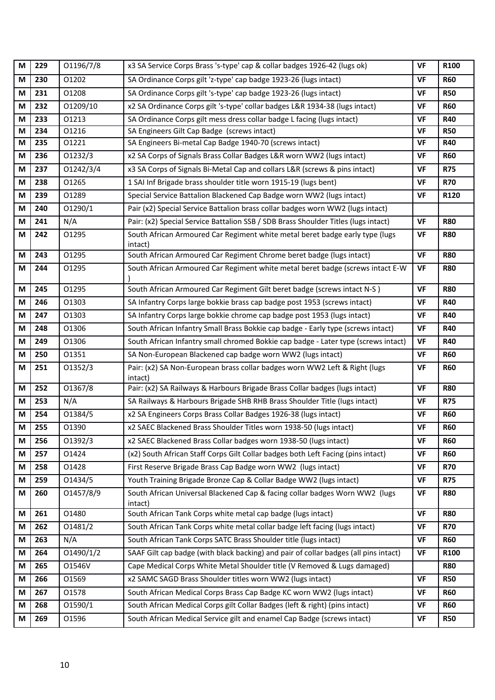| M | 229 | 01196/7/8 | x3 SA Service Corps Brass 's-type' cap & collar badges 1926-42 (lugs ok)                | <b>VF</b> | R100       |
|---|-----|-----------|-----------------------------------------------------------------------------------------|-----------|------------|
| M | 230 | 01202     | SA Ordinance Corps gilt 'z-type' cap badge 1923-26 (lugs intact)                        | VF        | <b>R60</b> |
| M | 231 | 01208     | SA Ordinance Corps gilt 's-type' cap badge 1923-26 (lugs intact)                        | <b>VF</b> | <b>R50</b> |
| M | 232 | 01209/10  | x2 SA Ordinance Corps gilt 's-type' collar badges L&R 1934-38 (lugs intact)             | VF        | <b>R60</b> |
| M | 233 | 01213     | SA Ordinance Corps gilt mess dress collar badge L facing (lugs intact)                  | <b>VF</b> | <b>R40</b> |
| M | 234 | 01216     | SA Engineers Gilt Cap Badge (screws intact)                                             | VF        | <b>R50</b> |
| M | 235 | 01221     | SA Engineers Bi-metal Cap Badge 1940-70 (screws intact)                                 | <b>VF</b> | <b>R40</b> |
| M | 236 | 01232/3   | x2 SA Corps of Signals Brass Collar Badges L&R worn WW2 (lugs intact)                   | VF        | <b>R60</b> |
| M | 237 | 01242/3/4 | x3 SA Corps of Signals Bi-Metal Cap and collars L&R (screws & pins intact)              | <b>VF</b> | <b>R75</b> |
| M | 238 | 01265     | 1 SAI Inf Brigade brass shoulder title worn 1915-19 (lugs bent)                         | <b>VF</b> | <b>R70</b> |
| M | 239 | 01289     | Special Service Battalion Blackened Cap Badge worn WW2 (lugs intact)                    | VF        | R120       |
| M | 240 | 01290/1   | Pair (x2) Special Service Battalion brass collar badges worn WW2 (lugs intact)          |           |            |
| M | 241 | N/A       | Pair: (x2) Special Service Battalion SSB / SDB Brass Shoulder Titles (lugs intact)      | <b>VF</b> | <b>R80</b> |
| M | 242 | 01295     | South African Armoured Car Regiment white metal beret badge early type (lugs<br>intact) | VF        | <b>R80</b> |
| M | 243 | 01295     | South African Armoured Car Regiment Chrome beret badge (lugs intact)                    | <b>VF</b> | <b>R80</b> |
| М | 244 | 01295     | South African Armoured Car Regiment white metal beret badge (screws intact E-W          | <b>VF</b> | <b>R80</b> |
| M | 245 | 01295     | South African Armoured Car Regiment Gilt beret badge (screws intact N-S)                | <b>VF</b> | <b>R80</b> |
| M | 246 | 01303     | SA Infantry Corps large bokkie brass cap badge post 1953 (screws intact)                | <b>VF</b> | <b>R40</b> |
| M | 247 | 01303     | SA Infantry Corps large bokkie chrome cap badge post 1953 (lugs intact)                 | <b>VF</b> | <b>R40</b> |
| M | 248 | 01306     | South African Infantry Small Brass Bokkie cap badge - Early type (screws intact)        | <b>VF</b> | <b>R40</b> |
| M | 249 | 01306     | South African Infantry small chromed Bokkie cap badge - Later type (screws intact)      | VF        | <b>R40</b> |
| M | 250 | 01351     | SA Non-European Blackened cap badge worn WW2 (lugs intact)                              | VF        | <b>R60</b> |
| M | 251 | 01352/3   | Pair: (x2) SA Non-European brass collar badges worn WW2 Left & Right (lugs<br>intact)   | VF        | <b>R60</b> |
| M | 252 | 01367/8   | Pair: (x2) SA Railways & Harbours Brigade Brass Collar badges (lugs intact)             | <b>VF</b> | <b>R80</b> |
| M | 253 | N/A       | SA Railways & Harbours Brigade SHB RHB Brass Shoulder Title (lugs intact)               | VF        | <b>R75</b> |
| M | 254 | 01384/5   | x2 SA Engineers Corps Brass Collar Badges 1926-38 (lugs intact)                         | VF        | <b>R60</b> |
| M | 255 | 01390     | x2 SAEC Blackened Brass Shoulder Titles worn 1938-50 (lugs intact)                      | <b>VF</b> | <b>R60</b> |
| M | 256 | 01392/3   | x2 SAEC Blackened Brass Collar badges worn 1938-50 (lugs intact)                        | <b>VF</b> | <b>R60</b> |
| M | 257 | 01424     | (x2) South African Staff Corps Gilt Collar badges both Left Facing (pins intact)        | <b>VF</b> | <b>R60</b> |
| M | 258 | 01428     | First Reserve Brigade Brass Cap Badge worn WW2 (lugs intact)                            | <b>VF</b> | <b>R70</b> |
| M | 259 | 01434/5   | Youth Training Brigade Bronze Cap & Collar Badge WW2 (lugs intact)                      | VF        | <b>R75</b> |
| M | 260 | 01457/8/9 | South African Universal Blackened Cap & facing collar badges Worn WW2 (lugs<br>intact)  | VF        | <b>R80</b> |
| M | 261 | 01480     | South African Tank Corps white metal cap badge (lugs intact)                            | <b>VF</b> | <b>R80</b> |
| M | 262 | 01481/2   | South African Tank Corps white metal collar badge left facing (lugs intact)             | <b>VF</b> | <b>R70</b> |
| M | 263 | N/A       | South African Tank Corps SATC Brass Shoulder title (lugs intact)                        | <b>VF</b> | <b>R60</b> |
| M | 264 | 01490/1/2 | SAAF Gilt cap badge (with black backing) and pair of collar badges (all pins intact)    | <b>VF</b> | R100       |
| M | 265 | 01546V    | Cape Medical Corps White Metal Shoulder title (V Removed & Lugs damaged)                |           | <b>R80</b> |
| M | 266 | 01569     | x2 SAMC SAGD Brass Shoulder titles worn WW2 (lugs intact)                               | VF        | <b>R50</b> |
| M | 267 | 01578     | South African Medical Corps Brass Cap Badge KC worn WW2 (lugs intact)                   | <b>VF</b> | <b>R60</b> |
| M | 268 | 01590/1   | South African Medical Corps gilt Collar Badges (left & right) (pins intact)             | VF        | <b>R60</b> |
| M | 269 | 01596     | South African Medical Service gilt and enamel Cap Badge (screws intact)                 | VF        | <b>R50</b> |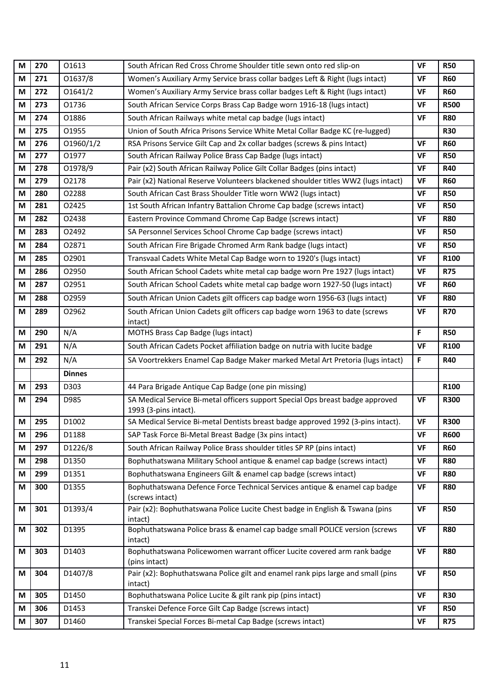| M | 270 | 01613         | South African Red Cross Chrome Shoulder title sewn onto red slip-on                                     | <b>VF</b> | <b>R50</b>  |
|---|-----|---------------|---------------------------------------------------------------------------------------------------------|-----------|-------------|
| M | 271 | 01637/8       | Women's Auxiliary Army Service brass collar badges Left & Right (lugs intact)                           | <b>VF</b> | <b>R60</b>  |
| M | 272 | 01641/2       | Women's Auxiliary Army Service brass collar badges Left & Right (lugs intact)                           | <b>VF</b> | <b>R60</b>  |
| M | 273 | 01736         | South African Service Corps Brass Cap Badge worn 1916-18 (lugs intact)                                  | <b>VF</b> | <b>R500</b> |
| M | 274 | 01886         | South African Railways white metal cap badge (lugs intact)                                              | <b>VF</b> | <b>R80</b>  |
| M | 275 | 01955         | Union of South Africa Prisons Service White Metal Collar Badge KC (re-lugged)                           |           | <b>R30</b>  |
| M | 276 | 01960/1/2     | RSA Prisons Service Gilt Cap and 2x collar badges (screws & pins Intact)                                | <b>VF</b> | <b>R60</b>  |
| M | 277 | 01977         | South African Railway Police Brass Cap Badge (lugs intact)                                              | <b>VF</b> | <b>R50</b>  |
| M | 278 | 01978/9       | Pair (x2) South African Railway Police Gilt Collar Badges (pins intact)                                 | <b>VF</b> | <b>R40</b>  |
| M | 279 | 02178         | Pair (x2) National Reserve Volunteers blackened shoulder titles WW2 (lugs intact)                       | <b>VF</b> | <b>R60</b>  |
| M | 280 | 02288         | South African Cast Brass Shoulder Title worn WW2 (lugs intact)                                          | <b>VF</b> | <b>R50</b>  |
| M | 281 | 02425         | 1st South African Infantry Battalion Chrome Cap badge (screws intact)                                   | <b>VF</b> | <b>R50</b>  |
| M | 282 | 02438         | Eastern Province Command Chrome Cap Badge (screws intact)                                               | <b>VF</b> | <b>R80</b>  |
| M | 283 | 02492         | SA Personnel Services School Chrome Cap badge (screws intact)                                           | <b>VF</b> | <b>R50</b>  |
| M | 284 | 02871         | South African Fire Brigade Chromed Arm Rank badge (lugs intact)                                         | VF        | <b>R50</b>  |
| M | 285 | 02901         | Transvaal Cadets White Metal Cap Badge worn to 1920's (lugs intact)                                     | <b>VF</b> | R100        |
| M | 286 | 02950         | South African School Cadets white metal cap badge worn Pre 1927 (lugs intact)                           | <b>VF</b> | <b>R75</b>  |
| M | 287 | 02951         | South African School Cadets white metal cap badge worn 1927-50 (lugs intact)                            | <b>VF</b> | <b>R60</b>  |
| M | 288 | 02959         | South African Union Cadets gilt officers cap badge worn 1956-63 (lugs intact)                           | <b>VF</b> | <b>R80</b>  |
| M | 289 | 02962         | South African Union Cadets gilt officers cap badge worn 1963 to date (screws<br>intact)                 | <b>VF</b> | <b>R70</b>  |
| М | 290 | N/A           | MOTHS Brass Cap Badge (lugs intact)                                                                     | F.        | <b>R50</b>  |
| M | 291 | N/A           | South African Cadets Pocket affiliation badge on nutria with lucite badge                               | <b>VF</b> | R100        |
| M | 292 | N/A           | SA Voortrekkers Enamel Cap Badge Maker marked Metal Art Pretoria (lugs intact)                          | F         | <b>R40</b>  |
|   |     | <b>Dinnes</b> |                                                                                                         |           |             |
| М | 293 | D303          | 44 Para Brigade Antique Cap Badge (one pin missing)                                                     |           | R100        |
| М | 294 | D985          | SA Medical Service Bi-metal officers support Special Ops breast badge approved<br>1993 (3-pins intact). | <b>VF</b> | <b>R300</b> |
| M | 295 | D1002         | SA Medical Service Bi-metal Dentists breast badge approved 1992 (3-pins intact).                        | <b>VF</b> | <b>R300</b> |
| M | 296 | D1188         | SAP Task Force Bi-Metal Breast Badge (3x pins intact)                                                   | VF        | <b>R600</b> |
| М | 297 | D1226/8       | South African Railway Police Brass shoulder titles SP RP (pins intact)                                  | <b>VF</b> | <b>R60</b>  |
| M | 298 | D1350         | Bophuthatswana Military School antique & enamel cap badge (screws intact)                               | <b>VF</b> | <b>R80</b>  |
| M | 299 | D1351         | Bophuthatswana Engineers Gilt & enamel cap badge (screws intact)                                        | VF        | <b>R80</b>  |
| M | 300 | D1355         | Bophuthatswana Defence Force Technical Services antique & enamel cap badge<br>(screws intact)           | <b>VF</b> | <b>R80</b>  |
| M | 301 | D1393/4       | Pair (x2): Bophuthatswana Police Lucite Chest badge in English & Tswana (pins<br>intact)                | <b>VF</b> | <b>R50</b>  |
| M | 302 | D1395         | Bophuthatswana Police brass & enamel cap badge small POLICE version (screws<br>intact)                  | <b>VF</b> | <b>R80</b>  |
| M |     |               |                                                                                                         |           |             |
|   | 303 | D1403         | Bophuthatswana Policewomen warrant officer Lucite covered arm rank badge<br>(pins intact)               | <b>VF</b> | <b>R80</b>  |
| M | 304 | D1407/8       | Pair (x2): Bophuthatswana Police gilt and enamel rank pips large and small (pins<br>intact)             | <b>VF</b> | <b>R50</b>  |
| M | 305 | D1450         | Bophuthatswana Police Lucite & gilt rank pip (pins intact)                                              | <b>VF</b> | <b>R30</b>  |
| M | 306 | D1453         | Transkei Defence Force Gilt Cap Badge (screws intact)                                                   | <b>VF</b> | <b>R50</b>  |
| M | 307 | D1460         | Transkei Special Forces Bi-metal Cap Badge (screws intact)                                              | <b>VF</b> | <b>R75</b>  |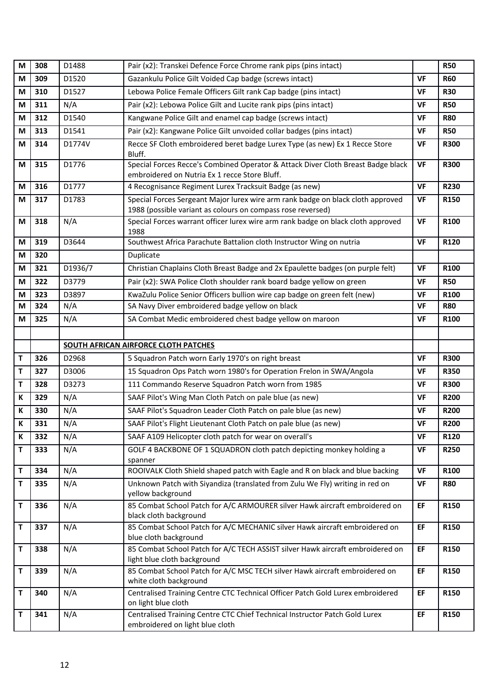| M           | 308 | D1488   | Pair (x2): Transkei Defence Force Chrome rank pips (pins intact)                                                                               |           | <b>R50</b>  |
|-------------|-----|---------|------------------------------------------------------------------------------------------------------------------------------------------------|-----------|-------------|
| M           | 309 | D1520   | Gazankulu Police Gilt Voided Cap badge (screws intact)                                                                                         | <b>VF</b> | <b>R60</b>  |
| M           | 310 | D1527   | Lebowa Police Female Officers Gilt rank Cap badge (pins intact)                                                                                | <b>VF</b> | <b>R30</b>  |
| М           | 311 | N/A     | Pair (x2): Lebowa Police Gilt and Lucite rank pips (pins intact)                                                                               | <b>VF</b> | <b>R50</b>  |
| M           | 312 | D1540   | Kangwane Police Gilt and enamel cap badge (screws intact)                                                                                      | <b>VF</b> | <b>R80</b>  |
| M           | 313 | D1541   | Pair (x2): Kangwane Police Gilt unvoided collar badges (pins intact)                                                                           | VF        | <b>R50</b>  |
| M           | 314 | D1774V  | Recce SF Cloth embroidered beret badge Lurex Type (as new) Ex 1 Recce Store<br>Bluff.                                                          | <b>VF</b> | <b>R300</b> |
| M           | 315 | D1776   | Special Forces Recce's Combined Operator & Attack Diver Cloth Breast Badge black<br>embroidered on Nutria Ex 1 recce Store Bluff.              | <b>VF</b> | <b>R300</b> |
| M           | 316 | D1777   | 4 Recognisance Regiment Lurex Tracksuit Badge (as new)                                                                                         | <b>VF</b> | <b>R230</b> |
| М           | 317 | D1783   | Special Forces Sergeant Major lurex wire arm rank badge on black cloth approved<br>1988 (possible variant as colours on compass rose reversed) | VF        | R150        |
| M           | 318 | N/A     | Special Forces warrant officer lurex wire arm rank badge on black cloth approved<br>1988                                                       | <b>VF</b> | R100        |
| М           | 319 | D3644   | Southwest Africa Parachute Battalion cloth Instructor Wing on nutria                                                                           | <b>VF</b> | R120        |
| M           | 320 |         | Duplicate                                                                                                                                      |           |             |
| M           | 321 | D1936/7 | Christian Chaplains Cloth Breast Badge and 2x Epaulette badges (on purple felt)                                                                | <b>VF</b> | R100        |
| M           | 322 | D3779   | Pair (x2): SWA Police Cloth shoulder rank board badge yellow on green                                                                          | <b>VF</b> | <b>R50</b>  |
| М           | 323 | D3897   | KwaZulu Police Senior Officers bullion wire cap badge on green felt (new)                                                                      | <b>VF</b> | R100        |
| M           | 324 | N/A     | SA Navy Diver embroidered badge yellow on black                                                                                                | <b>VF</b> | <b>R80</b>  |
| М           | 325 | N/A     | SA Combat Medic embroidered chest badge yellow on maroon                                                                                       | <b>VF</b> | R100        |
|             |     |         |                                                                                                                                                |           |             |
|             |     |         | SOUTH AFRICAN AIRFORCE CLOTH PATCHES                                                                                                           |           |             |
| $\mathsf T$ | 326 | D2968   | 5 Squadron Patch worn Early 1970's on right breast                                                                                             | <b>VF</b> | <b>R300</b> |
|             |     |         |                                                                                                                                                |           |             |
| $\mathsf T$ | 327 | D3006   | 15 Squadron Ops Patch worn 1980's for Operation Frelon in SWA/Angola                                                                           | <b>VF</b> | <b>R350</b> |
| T           | 328 | D3273   | 111 Commando Reserve Squadron Patch worn from 1985                                                                                             | <b>VF</b> | <b>R300</b> |
| К           | 329 | N/A     | SAAF Pilot's Wing Man Cloth Patch on pale blue (as new)                                                                                        | <b>VF</b> | <b>R200</b> |
| К           | 330 | N/A     | SAAF Pilot's Squadron Leader Cloth Patch on pale blue (as new)                                                                                 | VF        | <b>R200</b> |
| K           | 331 | N/A     | SAAF Pilot's Flight Lieutenant Cloth Patch on pale blue (as new)                                                                               | <b>VF</b> | <b>R200</b> |
| К           | 332 | N/A     | SAAF A109 Helicopter cloth patch for wear on overall's                                                                                         | <b>VF</b> | R120        |
| T           | 333 | N/A     | GOLF 4 BACKBONE OF 1 SQUADRON cloth patch depicting monkey holding a<br>spanner                                                                | VF        | <b>R250</b> |
| T           | 334 | N/A     | ROOIVALK Cloth Shield shaped patch with Eagle and R on black and blue backing                                                                  | <b>VF</b> | R100        |
| T           | 335 | N/A     | Unknown Patch with Siyandiza (translated from Zulu We Fly) writing in red on<br>yellow background                                              | VF        | <b>R80</b>  |
| $\mathsf T$ | 336 | N/A     | 85 Combat School Patch for A/C ARMOURER silver Hawk aircraft embroidered on<br>black cloth background                                          | EF        | R150        |
| $\mathsf T$ | 337 | N/A     | 85 Combat School Patch for A/C MECHANIC silver Hawk aircraft embroidered on<br>blue cloth background                                           | EF        | <b>R150</b> |
| $\mathsf T$ | 338 | N/A     | 85 Combat School Patch for A/C TECH ASSIST silver Hawk aircraft embroidered on<br>light blue cloth background                                  | EF        | R150        |
| T           | 339 | N/A     | 85 Combat School Patch for A/C MSC TECH silver Hawk aircraft embroidered on<br>white cloth background                                          | EF        | R150        |
| $\mathsf T$ | 340 | N/A     | Centralised Training Centre CTC Technical Officer Patch Gold Lurex embroidered<br>on light blue cloth                                          | EF        | R150        |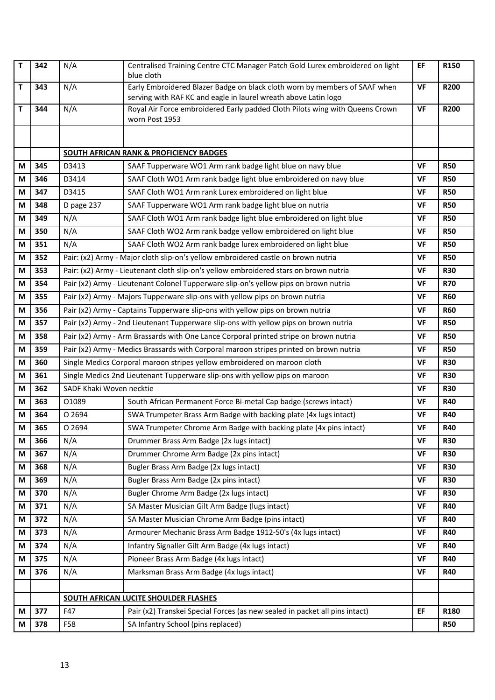| T | 342 | N/A                      | Centralised Training Centre CTC Manager Patch Gold Lurex embroidered on light<br>blue cloth                                                   | EF        | R150        |  |
|---|-----|--------------------------|-----------------------------------------------------------------------------------------------------------------------------------------------|-----------|-------------|--|
| Т | 343 | N/A                      | Early Embroidered Blazer Badge on black cloth worn by members of SAAF when<br>serving with RAF KC and eagle in laurel wreath above Latin logo | <b>VF</b> | <b>R200</b> |  |
| T | 344 | N/A                      | Royal Air Force embroidered Early padded Cloth Pilots wing with Queens Crown<br>worn Post 1953                                                | <b>VF</b> | <b>R200</b> |  |
|   |     |                          |                                                                                                                                               |           |             |  |
|   |     |                          | <b>SOUTH AFRICAN RANK &amp; PROFICIENCY BADGES</b>                                                                                            |           |             |  |
| М | 345 | D3413                    | SAAF Tupperware WO1 Arm rank badge light blue on navy blue                                                                                    | <b>VF</b> | <b>R50</b>  |  |
| M | 346 | D3414                    | SAAF Cloth WO1 Arm rank badge light blue embroidered on navy blue                                                                             | <b>VF</b> | <b>R50</b>  |  |
| М | 347 | D3415                    | SAAF Cloth WO1 Arm rank Lurex embroidered on light blue                                                                                       | <b>VF</b> | <b>R50</b>  |  |
| М | 348 | D page 237               | SAAF Tupperware WO1 Arm rank badge light blue on nutria                                                                                       | VF        | <b>R50</b>  |  |
| M | 349 | N/A                      | SAAF Cloth WO1 Arm rank badge light blue embroidered on light blue                                                                            | <b>VF</b> | <b>R50</b>  |  |
| M | 350 | N/A                      | SAAF Cloth WO2 Arm rank badge yellow embroidered on light blue                                                                                | <b>VF</b> | <b>R50</b>  |  |
| М | 351 | N/A                      | SAAF Cloth WO2 Arm rank badge lurex embroidered on light blue                                                                                 | <b>VF</b> | <b>R50</b>  |  |
| M | 352 |                          | Pair: (x2) Army - Major cloth slip-on's yellow embroidered castle on brown nutria                                                             | <b>VF</b> | <b>R50</b>  |  |
| M | 353 |                          | Pair: (x2) Army - Lieutenant cloth slip-on's yellow embroidered stars on brown nutria                                                         | <b>VF</b> | <b>R30</b>  |  |
| М | 354 |                          | Pair (x2) Army - Lieutenant Colonel Tupperware slip-on's yellow pips on brown nutria                                                          | <b>VF</b> | <b>R70</b>  |  |
| М | 355 |                          | Pair (x2) Army - Majors Tupperware slip-ons with yellow pips on brown nutria                                                                  | <b>VF</b> | <b>R60</b>  |  |
| M | 356 |                          | Pair (x2) Army - Captains Tupperware slip-ons with yellow pips on brown nutria                                                                | <b>VF</b> | <b>R60</b>  |  |
| М | 357 |                          | Pair (x2) Army - 2nd Lieutenant Tupperware slip-ons with yellow pips on brown nutria                                                          | <b>VF</b> | <b>R50</b>  |  |
| M | 358 |                          | Pair (x2) Army - Arm Brassards with One Lance Corporal printed stripe on brown nutria                                                         |           |             |  |
| М | 359 |                          | Pair (x2) Army - Medics Brassards with Corporal maroon stripes printed on brown nutria                                                        |           |             |  |
| М | 360 |                          | Single Medics Corporal maroon stripes yellow embroidered on maroon cloth                                                                      | <b>VF</b> | <b>R30</b>  |  |
| M | 361 |                          | Single Medics 2nd Lieutenant Tupperware slip-ons with yellow pips on maroon                                                                   | <b>VF</b> | <b>R30</b>  |  |
| M | 362 | SADF Khaki Woven necktie |                                                                                                                                               | <b>VF</b> | <b>R30</b>  |  |
| М | 363 | 01089                    | South African Permanent Force Bi-metal Cap badge (screws intact)                                                                              | <b>VF</b> | <b>R40</b>  |  |
| M | 364 | O 2694                   | SWA Trumpeter Brass Arm Badge with backing plate (4x lugs intact)                                                                             | VF        | <b>R40</b>  |  |
| М | 365 | O 2694                   | SWA Trumpeter Chrome Arm Badge with backing plate (4x pins intact)                                                                            | <b>VF</b> | <b>R40</b>  |  |
| M | 366 | N/A                      | Drummer Brass Arm Badge (2x lugs intact)                                                                                                      | <b>VF</b> | <b>R30</b>  |  |
| M | 367 | N/A                      | Drummer Chrome Arm Badge (2x pins intact)                                                                                                     | <b>VF</b> | <b>R30</b>  |  |
| М | 368 | N/A                      | Bugler Brass Arm Badge (2x lugs intact)                                                                                                       | <b>VF</b> | <b>R30</b>  |  |
| M | 369 | N/A                      | Bugler Brass Arm Badge (2x pins intact)                                                                                                       | <b>VF</b> | <b>R30</b>  |  |
| М | 370 | N/A                      | Bugler Chrome Arm Badge (2x lugs intact)                                                                                                      | <b>VF</b> | <b>R30</b>  |  |
| М | 371 | N/A                      | SA Master Musician Gilt Arm Badge (lugs intact)                                                                                               | <b>VF</b> | <b>R40</b>  |  |
| M | 372 | N/A                      | SA Master Musician Chrome Arm Badge (pins intact)                                                                                             | <b>VF</b> | <b>R40</b>  |  |
| М | 373 | N/A                      | Armourer Mechanic Brass Arm Badge 1912-50's (4x lugs intact)                                                                                  | <b>VF</b> | <b>R40</b>  |  |
| М | 374 | N/A                      | Infantry Signaller Gilt Arm Badge (4x lugs intact)                                                                                            | <b>VF</b> | <b>R40</b>  |  |
| М | 375 | N/A                      | Pioneer Brass Arm Badge (4x lugs intact)                                                                                                      | <b>VF</b> | <b>R40</b>  |  |
| М | 376 | N/A                      | Marksman Brass Arm Badge (4x lugs intact)                                                                                                     | <b>VF</b> | <b>R40</b>  |  |
|   |     |                          |                                                                                                                                               |           |             |  |
|   |     |                          | SOUTH AFRICAN LUCITE SHOULDER FLASHES                                                                                                         |           |             |  |
| М | 377 | F47                      | Pair (x2) Transkei Special Forces (as new sealed in packet all pins intact)                                                                   | EF        | R180        |  |
| M | 378 | F58                      | SA Infantry School (pins replaced)                                                                                                            |           | <b>R50</b>  |  |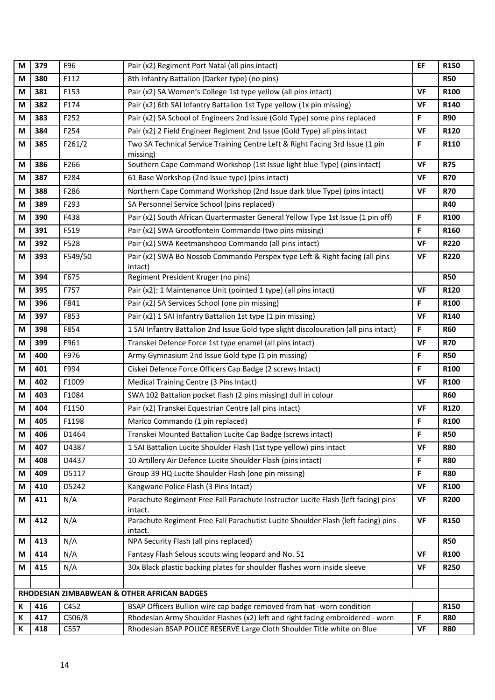| M                                           | 379 | F96     | Pair (x2) Regiment Port Natal (all pins intact)                                              | EF        | R150        |  |
|---------------------------------------------|-----|---------|----------------------------------------------------------------------------------------------|-----------|-------------|--|
| M                                           | 380 | F112    | 8th Infantry Battalion (Darker type) (no pins)                                               |           | <b>R50</b>  |  |
| М                                           | 381 | F153    | Pair (x2) SA Women's College 1st type yellow (all pins intact)                               | <b>VF</b> | R100        |  |
| M                                           | 382 | F174    | Pair (x2) 6th SAI Infantry Battalion 1st Type yellow (1x pin missing)                        | VF        | R140        |  |
| M                                           | 383 | F252    | Pair (x2) SA School of Engineers 2nd issue (Gold Type) some pins replaced                    | F         | <b>R90</b>  |  |
| M                                           | 384 | F254    | Pair (x2) 2 Field Engineer Regiment 2nd Issue (Gold Type) all pins intact                    | <b>VF</b> | R120        |  |
| М                                           | 385 | F261/2  | Two SA Technical Service Training Centre Left & Right Facing 3rd Issue (1 pin<br>missing)    | F         | R110        |  |
| М                                           | 386 | F266    | Southern Cape Command Workshop (1st Issue light blue Type) (pins intact)                     | <b>VF</b> | <b>R75</b>  |  |
| M                                           | 387 | F284    | 61 Base Workshop (2nd Issue type) (pins intact)                                              | <b>VF</b> | <b>R70</b>  |  |
| M                                           | 388 | F286    | Northern Cape Command Workshop (2nd Issue dark blue Type) (pins intact)                      | <b>VF</b> | <b>R70</b>  |  |
| М                                           | 389 | F293    | SA Personnel Service School (pins replaced)                                                  |           | <b>R40</b>  |  |
| М                                           | 390 | F438    | Pair (x2) South African Quartermaster General Yellow Type 1st Issue (1 pin off)              | F         | R100        |  |
| M                                           | 391 | F519    | Pair (x2) SWA Grootfontein Commando (two pins missing)                                       | F         | R160        |  |
| М                                           | 392 | F528    | Pair (x2) SWA Keetmanshoop Commando (all pins intact)                                        | <b>VF</b> | <b>R220</b> |  |
| М                                           | 393 | F549/50 | Pair (x2) SWA Bo Nossob Commando Perspex type Left & Right facing (all pins<br>intact)       | VF        | <b>R220</b> |  |
| М                                           | 394 | F675    | Regiment President Kruger (no pins)                                                          |           | <b>R50</b>  |  |
| M                                           | 395 | F757    | Pair (x2): 1 Maintenance Unit (pointed 1 type) (all pins intact)                             | <b>VF</b> | R120        |  |
| М                                           | 396 | F841    | Pair (x2) SA Services School (one pin missing)                                               | F         | R100        |  |
| М                                           | 397 | F853    | Pair (x2) 1 SAI Infantry Battalion 1st type (1 pin missing)                                  | <b>VF</b> | R140        |  |
| M                                           | 398 | F854    | 1 SAI Infantry Battalion 2nd Issue Gold type slight discolouration (all pins intact)         | F         | <b>R60</b>  |  |
| М                                           | 399 | F961    | Transkei Defence Force 1st type enamel (all pins intact)                                     | <b>VF</b> | <b>R70</b>  |  |
| M                                           | 400 | F976    | Army Gymnasium 2nd Issue Gold type (1 pin missing)                                           | F         | <b>R50</b>  |  |
| М                                           | 401 | F994    | Ciskei Defence Force Officers Cap Badge (2 screws Intact)                                    | F         | R100        |  |
| М                                           | 402 | F1009   | Medical Training Centre (3 Pins Intact)                                                      | <b>VF</b> | R100        |  |
| M                                           | 403 | F1084   | SWA 102 Battalion pocket flash (2 pins missing) dull in colour                               |           | <b>R60</b>  |  |
| М                                           | 404 | F1150   | Pair (x2) Transkei Equestrian Centre (all pins intact)                                       | <b>VF</b> | R120        |  |
| М                                           | 405 | F1198   | Marico Commando (1 pin replaced)                                                             | F         | R100        |  |
| M                                           | 406 | D1464   | Transkei Mounted Battalion Lucite Cap Badge (screws intact)                                  | F.        | <b>R50</b>  |  |
| М                                           | 407 | D4387   | 1 SAI Battalion Lucite Shoulder Flash (1st type yellow) pins intact                          | <b>VF</b> | <b>R80</b>  |  |
| M                                           | 408 | D4437   | 10 Artillery Air Defence Lucite Shoulder Flash (pins intact)                                 | F         | <b>R80</b>  |  |
| М                                           | 409 | D5117   | Group 39 HQ Lucite Shoulder Flash (one pin missing)                                          | F         | <b>R80</b>  |  |
| М                                           | 410 | D5242   | Kangwane Police Flash (3 Pins Intact)                                                        | <b>VF</b> | R100        |  |
| М                                           | 411 | N/A     | Parachute Regiment Free Fall Parachute Instructor Lucite Flash (left facing) pins<br>intact. | VF        | <b>R200</b> |  |
| M                                           | 412 | N/A     | Parachute Regiment Free Fall Parachutist Lucite Shoulder Flash (left facing) pins<br>intact. | <b>VF</b> | R150        |  |
| М                                           | 413 | N/A     | NPA Security Flash (all pins replaced)                                                       |           | <b>R50</b>  |  |
| M                                           | 414 | N/A     | Fantasy Flash Selous scouts wing leopard and No. 51                                          | VF        | R100        |  |
| М                                           | 415 | N/A     | 30x Black plastic backing plates for shoulder flashes worn inside sleeve                     | <b>VF</b> | <b>R250</b> |  |
|                                             |     |         |                                                                                              |           |             |  |
| RHODESIAN ZIMBABWEAN & OTHER AFRICAN BADGES |     |         |                                                                                              |           |             |  |
| К                                           | 416 | C452    | BSAP Officers Bullion wire cap badge removed from hat -worn condition                        |           | R150        |  |
| K                                           | 417 | C506/8  | Rhodesian Army Shoulder Flashes (x2) left and right facing embroidered - worn                | F         | <b>R80</b>  |  |
| К                                           | 418 | C557    | Rhodesian BSAP POLICE RESERVE Large Cloth Shoulder Title white on Blue                       | VF        | <b>R80</b>  |  |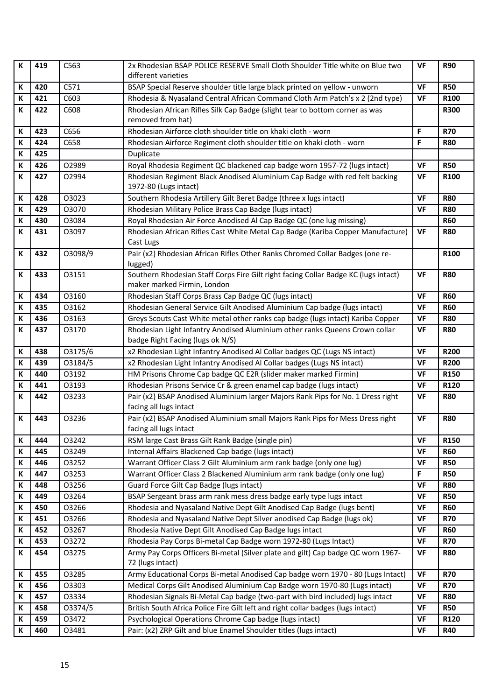| К           | 419 | C563    | 2x Rhodesian BSAP POLICE RESERVE Small Cloth Shoulder Title white on Blue two                                      | <b>VF</b> | <b>R90</b>  |
|-------------|-----|---------|--------------------------------------------------------------------------------------------------------------------|-----------|-------------|
|             |     |         | different varieties                                                                                                |           |             |
| K           | 420 | C571    | BSAP Special Reserve shoulder title large black printed on yellow - unworn                                         | <b>VF</b> | <b>R50</b>  |
| К           | 421 | C603    | Rhodesia & Nyasaland Central African Command Cloth Arm Patch's x 2 (2nd type)                                      | <b>VF</b> | R100        |
| К           | 422 | C608    | Rhodesian African Rifles Silk Cap Badge (slight tear to bottom corner as was                                       |           | <b>R300</b> |
|             |     |         | removed from hat)                                                                                                  |           |             |
| К           | 423 | C656    | Rhodesian Airforce cloth shoulder title on khaki cloth - worn                                                      | F         | <b>R70</b>  |
| К           | 424 | C658    | Rhodesian Airforce Regiment cloth shoulder title on khaki cloth - worn                                             | F         | <b>R80</b>  |
| К           | 425 |         | Duplicate                                                                                                          |           |             |
| К           | 426 | 02989   | Royal Rhodesia Regiment QC blackened cap badge worn 1957-72 (lugs intact)                                          | <b>VF</b> | <b>R50</b>  |
| К           | 427 | 02994   | Rhodesian Regiment Black Anodised Aluminium Cap Badge with red felt backing                                        | <b>VF</b> | R100        |
|             |     |         | 1972-80 (Lugs intact)                                                                                              |           |             |
| К           | 428 | 03023   | Southern Rhodesia Artillery Gilt Beret Badge (three x lugs intact)                                                 | <b>VF</b> | <b>R80</b>  |
| $\mathsf K$ | 429 | 03070   | Rhodesian Military Police Brass Cap Badge (lugs intact)                                                            | <b>VF</b> | <b>R80</b>  |
| К           | 430 | 03084   | Royal Rhodesian Air Force Anodised Al Cap Badge QC (one lug missing)                                               |           | <b>R60</b>  |
| K           | 431 | 03097   | Rhodesian African Rifles Cast White Metal Cap Badge (Kariba Copper Manufacture)                                    | <b>VF</b> | <b>R80</b>  |
|             |     |         | Cast Lugs                                                                                                          |           |             |
| К           | 432 | O3098/9 | Pair (x2) Rhodesian African Rifles Other Ranks Chromed Collar Badges (one re-                                      |           | R100        |
| $\mathsf K$ | 433 | 03151   | lugged)                                                                                                            | <b>VF</b> | <b>R80</b>  |
|             |     |         | Southern Rhodesian Staff Corps Fire Gilt right facing Collar Badge KC (lugs intact)<br>maker marked Firmin, London |           |             |
| К           | 434 | 03160   | Rhodesian Staff Corps Brass Cap Badge QC (lugs intact)                                                             | <b>VF</b> | <b>R60</b>  |
| К           | 435 | 03162   | Rhodesian General Service Gilt Anodised Aluminium Cap badge (lugs intact)                                          | <b>VF</b> | <b>R60</b>  |
| К           | 436 | 03163   | Greys Scouts Cast White metal other ranks cap badge (lugs intact) Kariba Copper                                    | <b>VF</b> | <b>R80</b>  |
| К           | 437 | 03170   | Rhodesian Light Infantry Anodised Aluminium other ranks Queens Crown collar                                        | VF        | <b>R80</b>  |
|             |     |         | badge Right Facing (lugs ok N/S)                                                                                   |           |             |
| $\mathbf K$ | 438 | 03175/6 | x2 Rhodesian Light Infantry Anodised Al Collar badges QC (Lugs NS intact)                                          | VF        | <b>R200</b> |
| К           | 439 | 03184/5 | x2 Rhodesian Light Infantry Anodised Al Collar badges (Lugs NS intact)                                             | <b>VF</b> | <b>R200</b> |
| $\mathsf K$ | 440 | 03192   | HM Prisons Chrome Cap badge QC E2R (slider maker marked Firmin)                                                    | <b>VF</b> | R150        |
| К           | 441 | 03193   | Rhodesian Prisons Service Cr & green enamel cap badge (lugs intact)                                                | VF        | R120        |
| K           | 442 | 03233   | Pair (x2) BSAP Anodised Aluminium larger Majors Rank Pips for No. 1 Dress right                                    | VF        | <b>R80</b>  |
|             |     |         | facing all lugs intact                                                                                             |           |             |
| К           | 443 | 03236   | Pair (x2) BSAP Anodised Aluminium small Majors Rank Pips for Mess Dress right                                      | <b>VF</b> | <b>R80</b>  |
|             |     |         | facing all lugs intact                                                                                             |           |             |
| $\mathsf K$ | 444 | 03242   | RSM large Cast Brass Gilt Rank Badge (single pin)                                                                  | <b>VF</b> | R150        |
| $\mathbf K$ | 445 | 03249   | Internal Affairs Blackened Cap badge (lugs intact)                                                                 | <b>VF</b> | <b>R60</b>  |
| К           | 446 | 03252   | Warrant Officer Class 2 Gilt Aluminium arm rank badge (only one lug)                                               | <b>VF</b> | <b>R50</b>  |
| К           | 447 | 03253   | Warrant Officer Class 2 Blackened Aluminium arm rank badge (only one lug)                                          | F         | <b>R50</b>  |
| К           | 448 | 03256   | Guard Force Gilt Cap Badge (lugs intact)                                                                           | VF        | <b>R80</b>  |
| К           | 449 | 03264   | BSAP Sergeant brass arm rank mess dress badge early type lugs intact                                               | VF        | <b>R50</b>  |
| К           | 450 | 03266   | Rhodesia and Nyasaland Native Dept Gilt Anodised Cap Badge (lugs bent)                                             | <b>VF</b> | <b>R60</b>  |
| К           | 451 | 03266   | Rhodesia and Nyasaland Native Dept Silver anodised Cap Badge (lugs ok)                                             | <b>VF</b> | <b>R70</b>  |
| К           | 452 | 03267   | Rhodesia Native Dept Gilt Anodised Cap Badge lugs intact                                                           | VF        | <b>R60</b>  |
| К           | 453 | 03272   | Rhodesia Pay Corps Bi-metal Cap Badge worn 1972-80 (Lugs Intact)                                                   | <b>VF</b> | <b>R70</b>  |
| К           | 454 | 03275   | Army Pay Corps Officers Bi-metal (Silver plate and gilt) Cap badge QC worn 1967-<br>72 (lugs intact)               | VF        | <b>R80</b>  |
| К           | 455 | 03285   | Army Educational Corps Bi-metal Anodised Cap badge worn 1970 - 80 (Lugs Intact)                                    | VF        | <b>R70</b>  |
| К           | 456 | 03303   | Medical Corps Gilt Anodised Aluminium Cap Badge worn 1970-80 (Lugs intact)                                         | VF        | <b>R70</b>  |
| К           | 457 | 03334   | Rhodesian Signals Bi-Metal Cap badge (two-part with bird included) lugs intact                                     | VF        | <b>R80</b>  |
| К           | 458 | O3374/5 | British South Africa Police Fire Gilt left and right collar badges (lugs intact)                                   | <b>VF</b> | <b>R50</b>  |
| К           | 459 | 03472   | Psychological Operations Chrome Cap badge (lugs intact)                                                            | VF        | R120        |
| К           | 460 | 03481   | Pair: (x2) ZRP Gilt and blue Enamel Shoulder titles (lugs intact)                                                  | <b>VF</b> | <b>R40</b>  |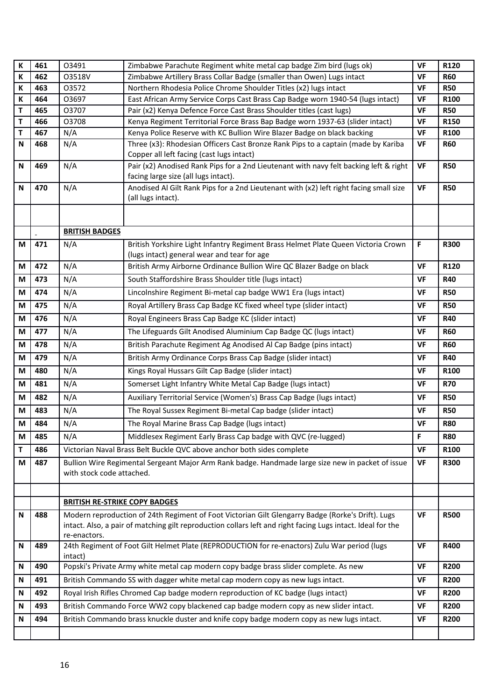| K         | 461 | 03491                                                                                                                                                                                                                            | Zimbabwe Parachute Regiment white metal cap badge Zim bird (lugs ok)                                                                                         | <b>VF</b>              | R120        |
|-----------|-----|----------------------------------------------------------------------------------------------------------------------------------------------------------------------------------------------------------------------------------|--------------------------------------------------------------------------------------------------------------------------------------------------------------|------------------------|-------------|
| К         | 462 | O3518V                                                                                                                                                                                                                           | Zimbabwe Artillery Brass Collar Badge (smaller than Owen) Lugs intact                                                                                        | <b>VF</b>              | <b>R60</b>  |
| К         | 463 | 03572                                                                                                                                                                                                                            | Northern Rhodesia Police Chrome Shoulder Titles (x2) lugs intact                                                                                             | <b>VF</b>              | <b>R50</b>  |
| К         | 464 | 03697                                                                                                                                                                                                                            | East African Army Service Corps Cast Brass Cap Badge worn 1940-54 (lugs intact)                                                                              | <b>VF</b>              | R100        |
| T         | 465 | 03707                                                                                                                                                                                                                            | Pair (x2) Kenya Defence Force Cast Brass Shoulder titles (cast lugs)                                                                                         | VF                     | <b>R50</b>  |
| T         | 466 | 03708                                                                                                                                                                                                                            | Kenya Regiment Territorial Force Brass Bap Badge worn 1937-63 (slider intact)                                                                                | <b>VF</b>              | R150        |
| T         | 467 | N/A<br>N/A                                                                                                                                                                                                                       | Kenya Police Reserve with KC Bullion Wire Blazer Badge on black backing<br>Three (x3): Rhodesian Officers Cast Bronze Rank Pips to a captain (made by Kariba | <b>VF</b><br><b>VF</b> | R100        |
| N         | 468 |                                                                                                                                                                                                                                  | Copper all left facing (cast lugs intact)                                                                                                                    |                        | <b>R60</b>  |
| N         | 469 | N/A                                                                                                                                                                                                                              | Pair (x2) Anodised Rank Pips for a 2nd Lieutenant with navy felt backing left & right<br>facing large size (all lugs intact).                                | <b>VF</b>              | <b>R50</b>  |
| N         | 470 | N/A                                                                                                                                                                                                                              | Anodised Al Gilt Rank Pips for a 2nd Lieutenant with (x2) left right facing small size<br>(all lugs intact).                                                 | <b>VF</b>              | <b>R50</b>  |
|           |     |                                                                                                                                                                                                                                  |                                                                                                                                                              |                        |             |
|           |     | <b>BRITISH BADGES</b>                                                                                                                                                                                                            |                                                                                                                                                              |                        |             |
| M         | 471 | N/A                                                                                                                                                                                                                              | British Yorkshire Light Infantry Regiment Brass Helmet Plate Queen Victoria Crown<br>(lugs intact) general wear and tear for age                             | F                      | <b>R300</b> |
| M         | 472 | N/A                                                                                                                                                                                                                              | British Army Airborne Ordinance Bullion Wire QC Blazer Badge on black                                                                                        | <b>VF</b>              | R120        |
| M         | 473 | N/A                                                                                                                                                                                                                              | South Staffordshire Brass Shoulder title (lugs intact)                                                                                                       | <b>VF</b>              | <b>R40</b>  |
| М         | 474 | N/A                                                                                                                                                                                                                              | Lincolnshire Regiment Bi-metal cap badge WW1 Era (lugs intact)                                                                                               | <b>VF</b>              | <b>R50</b>  |
| M         | 475 | N/A                                                                                                                                                                                                                              | Royal Artillery Brass Cap Badge KC fixed wheel type (slider intact)                                                                                          | VF                     | <b>R50</b>  |
| М         | 476 | N/A                                                                                                                                                                                                                              | Royal Engineers Brass Cap Badge KC (slider intact)                                                                                                           | <b>VF</b>              | <b>R40</b>  |
| М         | 477 | N/A                                                                                                                                                                                                                              | The Lifeguards Gilt Anodised Aluminium Cap Badge QC (lugs intact)                                                                                            | <b>VF</b>              | <b>R60</b>  |
| М         | 478 | N/A                                                                                                                                                                                                                              | British Parachute Regiment Ag Anodised Al Cap Badge (pins intact)                                                                                            | <b>VF</b>              | <b>R60</b>  |
| М         | 479 | N/A                                                                                                                                                                                                                              | British Army Ordinance Corps Brass Cap Badge (slider intact)                                                                                                 | <b>VF</b>              | <b>R40</b>  |
| M         | 480 | N/A                                                                                                                                                                                                                              | Kings Royal Hussars Gilt Cap Badge (slider intact)                                                                                                           | <b>VF</b>              | R100        |
| М         | 481 | N/A                                                                                                                                                                                                                              | Somerset Light Infantry White Metal Cap Badge (lugs intact)                                                                                                  | <b>VF</b>              | <b>R70</b>  |
| М         | 482 | N/A                                                                                                                                                                                                                              | Auxiliary Territorial Service (Women's) Brass Cap Badge (lugs intact)                                                                                        | <b>VF</b>              | <b>R50</b>  |
| M         | 483 | N/A                                                                                                                                                                                                                              | The Royal Sussex Regiment Bi-metal Cap badge (slider intact)                                                                                                 | VF                     | <b>R50</b>  |
| М         | 484 | N/A                                                                                                                                                                                                                              | The Royal Marine Brass Cap Badge (lugs intact)                                                                                                               | <b>VF</b>              | <b>R80</b>  |
| M         | 485 | N/A                                                                                                                                                                                                                              | Middlesex Regiment Early Brass Cap badge with QVC (re-lugged)                                                                                                | F                      | <b>R80</b>  |
| Τ         | 486 |                                                                                                                                                                                                                                  | Victorian Naval Brass Belt Buckle QVC above anchor both sides complete                                                                                       | <b>VF</b>              | R100        |
| М         | 487 | with stock code attached.                                                                                                                                                                                                        | Bullion Wire Regimental Sergeant Major Arm Rank badge. Handmade large size new in packet of issue                                                            | <b>VF</b>              | <b>R300</b> |
|           |     |                                                                                                                                                                                                                                  |                                                                                                                                                              |                        |             |
|           |     | <b>BRITISH RE-STRIKE COPY BADGES</b>                                                                                                                                                                                             |                                                                                                                                                              |                        |             |
| N         | 488 | Modern reproduction of 24th Regiment of Foot Victorian Gilt Glengarry Badge (Rorke's Drift). Lugs<br>intact. Also, a pair of matching gilt reproduction collars left and right facing Lugs intact. Ideal for the<br>re-enactors. |                                                                                                                                                              |                        | <b>R500</b> |
| ${\sf N}$ | 489 | 24th Regiment of Foot Gilt Helmet Plate (REPRODUCTION for re-enactors) Zulu War period (lugs<br>intact)                                                                                                                          |                                                                                                                                                              |                        | R400        |
| N         | 490 |                                                                                                                                                                                                                                  | Popski's Private Army white metal cap modern copy badge brass slider complete. As new                                                                        | <b>VF</b>              | <b>R200</b> |
| N         | 491 | British Commando SS with dagger white metal cap modern copy as new lugs intact.                                                                                                                                                  |                                                                                                                                                              |                        | <b>R200</b> |
| N         | 492 | VF<br>Royal Irish Rifles Chromed Cap badge modern reproduction of KC badge (lugs intact)<br><b>VF</b>                                                                                                                            |                                                                                                                                                              |                        | <b>R200</b> |
| N         | 493 | British Commando Force WW2 copy blackened cap badge modern copy as new slider intact.                                                                                                                                            |                                                                                                                                                              |                        | <b>R200</b> |
| N         | 494 | VF<br>British Commando brass knuckle duster and knife copy badge modern copy as new lugs intact.                                                                                                                                 |                                                                                                                                                              |                        | <b>R200</b> |
|           |     |                                                                                                                                                                                                                                  |                                                                                                                                                              | VF                     |             |
|           |     |                                                                                                                                                                                                                                  |                                                                                                                                                              |                        |             |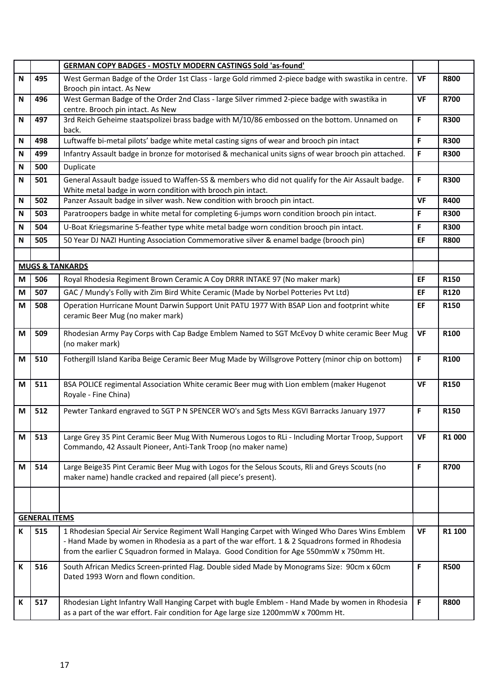|                                   |     | <b>GERMAN COPY BADGES - MOSTLY MODERN CASTINGS Sold 'as-found'</b>                                                                                                                                                                                                                            |             |                    |
|-----------------------------------|-----|-----------------------------------------------------------------------------------------------------------------------------------------------------------------------------------------------------------------------------------------------------------------------------------------------|-------------|--------------------|
| ${\sf N}$                         | 495 | West German Badge of the Order 1st Class - large Gold rimmed 2-piece badge with swastika in centre.                                                                                                                                                                                           |             | <b>R800</b>        |
|                                   |     | Brooch pin intact. As New                                                                                                                                                                                                                                                                     |             |                    |
| N                                 | 496 | West German Badge of the Order 2nd Class - large Silver rimmed 2-piece badge with swastika in<br>centre. Brooch pin intact. As New                                                                                                                                                            |             | <b>R700</b>        |
| N                                 | 497 | 3rd Reich Geheime staatspolizei brass badge with M/10/86 embossed on the bottom. Unnamed on                                                                                                                                                                                                   | F           | <b>R300</b>        |
|                                   |     | back.                                                                                                                                                                                                                                                                                         | $\mathsf F$ |                    |
| ${\sf N}$                         | 498 | Luftwaffe bi-metal pilots' badge white metal casting signs of wear and brooch pin intact                                                                                                                                                                                                      |             | <b>R300</b>        |
| N                                 | 499 | Infantry Assault badge in bronze for motorised & mechanical units signs of wear brooch pin attached.                                                                                                                                                                                          |             | <b>R300</b>        |
| N                                 | 500 | Duplicate                                                                                                                                                                                                                                                                                     |             |                    |
| N                                 | 501 | General Assault badge issued to Waffen-SS & members who did not qualify for the Air Assault badge.<br>White metal badge in worn condition with brooch pin intact.                                                                                                                             |             | <b>R300</b>        |
| ${\sf N}$                         | 502 | Panzer Assault badge in silver wash. New condition with brooch pin intact.                                                                                                                                                                                                                    |             | <b>R400</b>        |
| N                                 | 503 | Paratroopers badge in white metal for completing 6-jumps worn condition brooch pin intact.                                                                                                                                                                                                    |             | <b>R300</b>        |
| N                                 | 504 | U-Boat Kriegsmarine 5-feather type white metal badge worn condition brooch pin intact.                                                                                                                                                                                                        |             | <b>R300</b>        |
| ${\sf N}$                         | 505 | 50 Year DJ NAZI Hunting Association Commemorative silver & enamel badge (brooch pin)                                                                                                                                                                                                          | EF          | <b>R800</b>        |
|                                   |     |                                                                                                                                                                                                                                                                                               |             |                    |
|                                   |     | <b>MUGS &amp; TANKARDS</b>                                                                                                                                                                                                                                                                    |             |                    |
| М                                 | 506 | Royal Rhodesia Regiment Brown Ceramic A Coy DRRR INTAKE 97 (No maker mark)                                                                                                                                                                                                                    | EF          | R150               |
| M                                 | 507 | GAC / Mundy's Folly with Zim Bird White Ceramic (Made by Norbel Potteries Pvt Ltd)                                                                                                                                                                                                            | EF          | R120               |
| M                                 | 508 | Operation Hurricane Mount Darwin Support Unit PATU 1977 With BSAP Lion and footprint white<br>ceramic Beer Mug (no maker mark)                                                                                                                                                                | EF          | R150               |
| M                                 | 509 | Rhodesian Army Pay Corps with Cap Badge Emblem Named to SGT McEvoy D white ceramic Beer Mug<br>(no maker mark)                                                                                                                                                                                | <b>VF</b>   | R100               |
| M                                 | 510 | Fothergill Island Kariba Beige Ceramic Beer Mug Made by Willsgrove Pottery (minor chip on bottom)                                                                                                                                                                                             | F           | R100               |
| M                                 | 511 | BSA POLICE regimental Association White ceramic Beer mug with Lion emblem (maker Hugenot<br>Royale - Fine China)                                                                                                                                                                              | <b>VF</b>   | R150               |
| M                                 | 512 | Pewter Tankard engraved to SGT P N SPENCER WO's and Sgts Mess KGVI Barracks January 1977                                                                                                                                                                                                      | $\mathsf F$ | R150               |
| M                                 | 513 | Large Grey 35 Pint Ceramic Beer Mug With Numerous Logos to RLi - Including Mortar Troop, Support<br>Commando, 42 Assault Pioneer, Anti-Tank Troop (no maker name)                                                                                                                             |             | R <sub>1</sub> 000 |
| M                                 | 514 | Large Beige35 Pint Ceramic Beer Mug with Logos for the Selous Scouts, Rli and Greys Scouts (no<br>maker name) handle cracked and repaired (all piece's present).                                                                                                                              | $\mathsf F$ | <b>R700</b>        |
|                                   |     |                                                                                                                                                                                                                                                                                               |             |                    |
| <b>GENERAL ITEMS</b><br><b>VF</b> |     |                                                                                                                                                                                                                                                                                               |             |                    |
| К                                 | 515 | 1 Rhodesian Special Air Service Regiment Wall Hanging Carpet with Winged Who Dares Wins Emblem<br>- Hand Made by women in Rhodesia as a part of the war effort. 1 & 2 Squadrons formed in Rhodesia<br>from the earlier C Squadron formed in Malaya. Good Condition for Age 550mmW x 750mm Ht. |             | R1 100             |
| К                                 | 516 | South African Medics Screen-printed Flag. Double sided Made by Monograms Size: 90cm x 60cm<br>Dated 1993 Worn and flown condition.                                                                                                                                                            |             | <b>R500</b>        |
| К                                 | 517 | Rhodesian Light Infantry Wall Hanging Carpet with bugle Emblem - Hand Made by women in Rhodesia<br>as a part of the war effort. Fair condition for Age large size 1200mmW x 700mm Ht.                                                                                                         | F           | <b>R800</b>        |